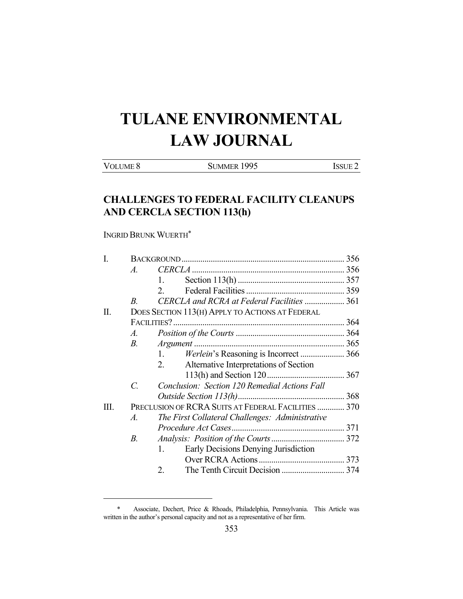# **TULANE ENVIRONMENTAL LAW JOURNAL**

VOLUME 8 SUMMER 1995 ISSUE 2

# **CHALLENGES TO FEDERAL FACILITY CLEANUPS AND CERCLA SECTION 113(h)**

INGRID BRUNK WUERTH\*

| I.   |                                                     |                                                 |  |
|------|-----------------------------------------------------|-------------------------------------------------|--|
|      | $\mathcal{A}_{\cdot}$                               |                                                 |  |
|      |                                                     | 1.                                              |  |
|      |                                                     | 2.                                              |  |
|      | $\overline{B}$                                      | CERCLA and RCRA at Federal Facilities  361      |  |
| П.   |                                                     | DOES SECTION 113(H) APPLY TO ACTIONS AT FEDERAL |  |
|      |                                                     | FACILITIES?                                     |  |
|      | Α.                                                  |                                                 |  |
|      | $B_{\cdot}$                                         |                                                 |  |
|      |                                                     | 1.                                              |  |
|      |                                                     | 2.<br>Alternative Interpretations of Section    |  |
|      |                                                     |                                                 |  |
|      | $\mathcal{C}$ .                                     | Conclusion: Section 120 Remedial Actions Fall   |  |
|      |                                                     |                                                 |  |
| III. | PRECLUSION OF RCRA SUITS AT FEDERAL FACILITIES  370 |                                                 |  |
|      | $\mathcal{A}.$                                      | The First Collateral Challenges: Administrative |  |
|      |                                                     |                                                 |  |
|      | В.                                                  |                                                 |  |
|      |                                                     | Early Decisions Denying Jurisdiction<br>1.      |  |
|      |                                                     |                                                 |  |
|      |                                                     | 2.                                              |  |

 <sup>\*</sup> Associate, Dechert, Price & Rhoads, Philadelphia, Pennsylvania. This Article was written in the author's personal capacity and not as a representative of her firm.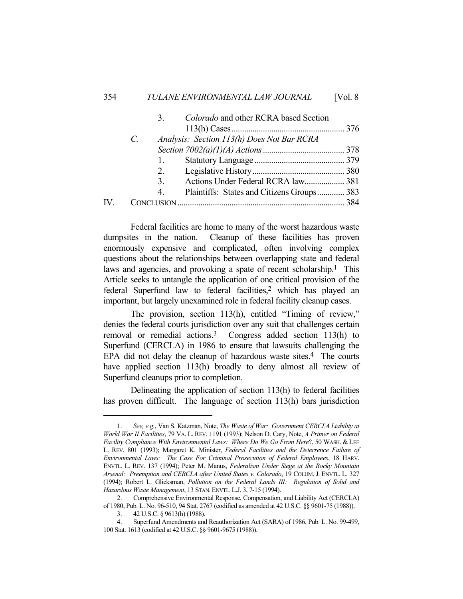#### 354 *TULANE ENVIRONMENTAL LAW JOURNAL* [Vol. 8

|    | 3 <sub>1</sub> | Colorado and other RCRA based Section      |  |
|----|----------------|--------------------------------------------|--|
|    |                |                                            |  |
|    | $\mathcal{C}$  | Analysis: Section 113(h) Does Not Bar RCRA |  |
|    |                |                                            |  |
|    | 1.             |                                            |  |
|    |                |                                            |  |
|    | 3.             | Actions Under Federal RCRA law 381         |  |
|    | 4 <sub>1</sub> | Plaintiffs: States and Citizens Groups 383 |  |
| IV |                |                                            |  |
|    |                |                                            |  |

 Federal facilities are home to many of the worst hazardous waste dumpsites in the nation. Cleanup of these facilities has proven enormously expensive and complicated, often involving complex questions about the relationships between overlapping state and federal laws and agencies, and provoking a spate of recent scholarship.<sup>1</sup> This Article seeks to untangle the application of one critical provision of the federal Superfund law to federal facilities,<sup>2</sup> which has played an important, but largely unexamined role in federal facility cleanup cases.

 The provision, section 113(h), entitled "Timing of review," denies the federal courts jurisdiction over any suit that challenges certain removal or remedial actions.3 Congress added section 113(h) to Superfund (CERCLA) in 1986 to ensure that lawsuits challenging the EPA did not delay the cleanup of hazardous waste sites.<sup>4</sup> The courts have applied section 113(h) broadly to deny almost all review of Superfund cleanups prior to completion.

 Delineating the application of section 113(h) to federal facilities has proven difficult. The language of section 113(h) bars jurisdiction

 <sup>1.</sup> *See, e.g.*, Van S. Katzman, Note, *The Waste of War: Government CERCLA Liability at World War II Facilities*, 79 VA. L. REV. 1191 (1993); Nelson D. Cary, Note, *A Primer on Federal Facility Compliance With Environmental Laws: Where Do We Go From Here*?, 50 WASH. & LEE L. REV. 801 (1993); Margaret K. Minister, *Federal Facilities and the Deterrence Failure of Environmental Laws: The Case For Criminal Prosecution of Federal Employees*, 18 HARV. ENVTL. L. REV. 137 (1994); Peter M. Manus, *Federalism Under Siege at the Rocky Mountain Arsenal: Preemption and CERCLA after United States v. Colorado*, 19 COLUM. J. ENVTL. L. 327 (1994); Robert L. Glicksman, *Pollution on the Federal Lands III: Regulation of Solid and Hazardous Waste Management*, 13 STAN.ENVTL.L.J. 3, 7-15 (1994).

 <sup>2.</sup> Comprehensive Environmental Response, Compensation, and Liability Act (CERCLA) of 1980, Pub. L. No. 96-510, 94 Stat. 2767 (codified as amended at 42 U.S.C. §§ 9601-75 (1988)).

 <sup>3. 42</sup> U.S.C. § 9613(h) (1988).

 <sup>4.</sup> Superfund Amendments and Reauthorization Act (SARA) of 1986, Pub. L. No. 99-499, 100 Stat. 1613 (codified at 42 U.S.C. §§ 9601-9675 (1988)).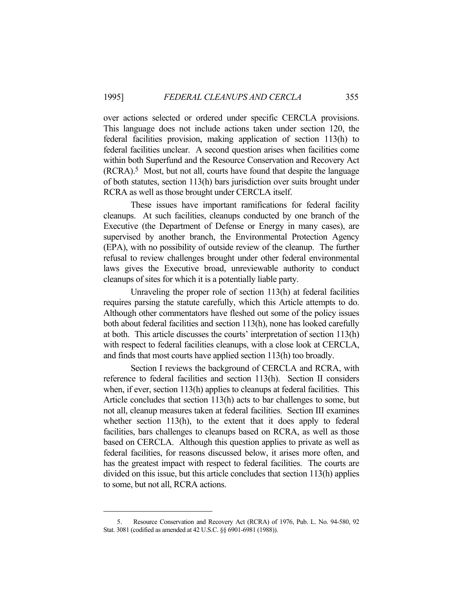over actions selected or ordered under specific CERCLA provisions. This language does not include actions taken under section 120, the federal facilities provision, making application of section 113(h) to federal facilities unclear. A second question arises when facilities come within both Superfund and the Resource Conservation and Recovery Act (RCRA).5 Most, but not all, courts have found that despite the language of both statutes, section 113(h) bars jurisdiction over suits brought under RCRA as well as those brought under CERCLA itself.

 These issues have important ramifications for federal facility cleanups. At such facilities, cleanups conducted by one branch of the Executive (the Department of Defense or Energy in many cases), are supervised by another branch, the Environmental Protection Agency (EPA), with no possibility of outside review of the cleanup. The further refusal to review challenges brought under other federal environmental laws gives the Executive broad, unreviewable authority to conduct cleanups of sites for which it is a potentially liable party.

 Unraveling the proper role of section 113(h) at federal facilities requires parsing the statute carefully, which this Article attempts to do. Although other commentators have fleshed out some of the policy issues both about federal facilities and section 113(h), none has looked carefully at both. This article discusses the courts' interpretation of section 113(h) with respect to federal facilities cleanups, with a close look at CERCLA, and finds that most courts have applied section 113(h) too broadly.

 Section I reviews the background of CERCLA and RCRA, with reference to federal facilities and section 113(h). Section II considers when, if ever, section 113(h) applies to cleanups at federal facilities. This Article concludes that section 113(h) acts to bar challenges to some, but not all, cleanup measures taken at federal facilities. Section III examines whether section 113(h), to the extent that it does apply to federal facilities, bars challenges to cleanups based on RCRA, as well as those based on CERCLA. Although this question applies to private as well as federal facilities, for reasons discussed below, it arises more often, and has the greatest impact with respect to federal facilities. The courts are divided on this issue, but this article concludes that section 113(h) applies to some, but not all, RCRA actions.

 <sup>5.</sup> Resource Conservation and Recovery Act (RCRA) of 1976, Pub. L. No. 94-580, 92 Stat. 3081 (codified as amended at 42 U.S.C. §§ 6901-6981 (1988)).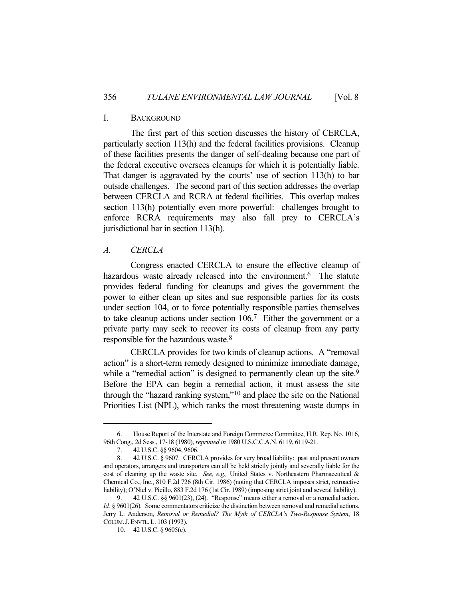# I. BACKGROUND

 The first part of this section discusses the history of CERCLA, particularly section 113(h) and the federal facilities provisions. Cleanup of these facilities presents the danger of self-dealing because one part of the federal executive oversees cleanups for which it is potentially liable. That danger is aggravated by the courts' use of section 113(h) to bar outside challenges. The second part of this section addresses the overlap between CERCLA and RCRA at federal facilities. This overlap makes section 113(h) potentially even more powerful: challenges brought to enforce RCRA requirements may also fall prey to CERCLA's jurisdictional bar in section 113(h).

### *A. CERCLA*

 Congress enacted CERCLA to ensure the effective cleanup of hazardous waste already released into the environment.<sup>6</sup> The statute provides federal funding for cleanups and gives the government the power to either clean up sites and sue responsible parties for its costs under section 104, or to force potentially responsible parties themselves to take cleanup actions under section 106.7 Either the government or a private party may seek to recover its costs of cleanup from any party responsible for the hazardous waste.8

 CERCLA provides for two kinds of cleanup actions. A "removal action" is a short-term remedy designed to minimize immediate damage, while a "remedial action" is designed to permanently clean up the site.<sup>9</sup> Before the EPA can begin a remedial action, it must assess the site through the "hazard ranking system,"10 and place the site on the National Priorities List (NPL), which ranks the most threatening waste dumps in

 <sup>6.</sup> House Report of the Interstate and Foreign Commerce Committee, H.R. Rep. No. 1016, 96th Cong., 2d Sess., 17-18 (1980), *reprinted in* 1980 U.S.C.C.A.N. 6119, 6119-21.

 <sup>7. 42</sup> U.S.C. §§ 9604, 9606.

 <sup>8. 42</sup> U.S.C. § 9607. CERCLA provides for very broad liability: past and present owners and operators, arrangers and transporters can all be held strictly jointly and severally liable for the cost of cleaning up the waste site. *See, e.g.,* United States v. Northeastern Pharmaceutical & Chemical Co., Inc., 810 F.2d 726 (8th Cir. 1986) (noting that CERCLA imposes strict, retroactive liability); O'Niel v. Picillo, 883 F.2d 176 (1st Cir. 1989) (imposing strict joint and several liability).

 <sup>9. 42</sup> U.S.C. §§ 9601(23), (24). "Response" means either a removal or a remedial action. *Id.* § 9601(26). Some commentators criticize the distinction between removal and remedial actions. Jerry L. Anderson, *Removal or Remedial? The Myth of CERCLA's Two-Response System*, 18 COLUM.J.ENVTL.L. 103 (1993).

 <sup>10. 42</sup> U.S.C. § 9605(c).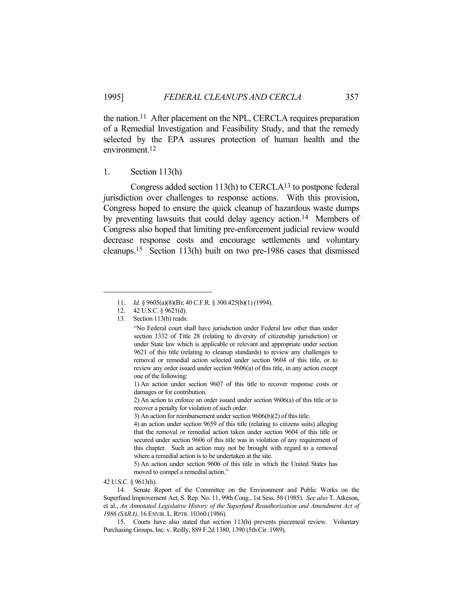the nation.<sup>11</sup> After placement on the NPL, CERCLA requires preparation of a Remedial Investigation and Feasibility Study, and that the remedy selected by the EPA assures protection of human health and the environment.12

# 1. Section 113(h)

 Congress added section 113(h) to CERCLA13 to postpone federal jurisdiction over challenges to response actions. With this provision, Congress hoped to ensure the quick cleanup of hazardous waste dumps by preventing lawsuits that could delay agency action.<sup>14</sup> Members of Congress also hoped that limiting pre-enforcement judicial review would decrease response costs and encourage settlements and voluntary cleanups.15 Section 113(h) built on two pre-1986 cases that dismissed

42 U.S.C. § 9613(h).

 <sup>11.</sup> *Id.* § 9605(a)(8)(B); 40 C.F.R. § 300.425(b)(1) (1994).

 <sup>12. 42</sup> U.S.C. § 9621(d).

 <sup>13.</sup> Section 113(h) reads:

<sup>&</sup>quot;No Federal court shall have jurisdiction under Federal law other than under section 1332 of Title 28 (relating to diversity of citizenship jurisdiction) or under State law which is applicable or relevant and appropriate under section 9621 of this title (relating to cleanup standards) to review any challenges to removal or remedial action selected under section 9604 of this title, or to review any order issued under section 9606(a) of this title, in any action except one of the following:

<sup>1)</sup> An action under section 9607 of this title to recover response costs or damages or for contribution.

<sup>2)</sup> An action to enforce an order issued under section 9606(a) of this title or to recover a penalty for violation of such order.

<sup>3)</sup> An action for reimbursement under section 9606(b)(2) of this title.

<sup>4)</sup> an action under section 9659 of this title (relating to citizens suits) alleging that the removal or remedial action taken under section 9604 of this title or secured under section 9606 of this title was in violation of any requirement of this chapter. Such an action may not be brought with regard to a removal where a remedial action is to be undertaken at the site.

<sup>5)</sup> An action under section 9606 of this title in which the United States has moved to compel a remedial action."

 <sup>14.</sup> Senate Report of the Committee on the Environment and Public Works on the Superfund Improvement Act, S. Rep. No. 11, 99th Cong., 1st Sess. 58 (1985). *See also* T. Atkeson, et al., *An Annotated Legislative History of the Superfund Reauthorization and Amendment Act of 1986 (SARA)*, 16 ENVIR.L.RPTR. 10360 (1986).

 <sup>15.</sup> Courts have also stated that section 113(h) prevents piecemeal review. Voluntary Purchasing Groups, Inc. v. Reilly, 889 F.2d 1380, 1390 (5th Cir. 1989).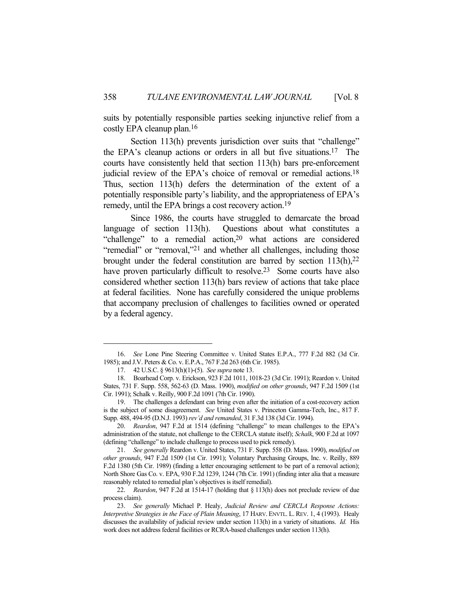suits by potentially responsible parties seeking injunctive relief from a costly EPA cleanup plan.16

Section 113(h) prevents jurisdiction over suits that "challenge" the EPA's cleanup actions or orders in all but five situations.17 The courts have consistently held that section 113(h) bars pre-enforcement judicial review of the EPA's choice of removal or remedial actions.<sup>18</sup> Thus, section 113(h) defers the determination of the extent of a potentially responsible party's liability, and the appropriateness of EPA's remedy, until the EPA brings a cost recovery action.19

 Since 1986, the courts have struggled to demarcate the broad language of section 113(h). Questions about what constitutes a "challenge" to a remedial action, $20$  what actions are considered "remedial" or "removal,"<sup>21</sup> and whether all challenges, including those brought under the federal constitution are barred by section  $113(h)$ ,  $22$ have proven particularly difficult to resolve.<sup>23</sup> Some courts have also considered whether section 113(h) bars review of actions that take place at federal facilities. None has carefully considered the unique problems that accompany preclusion of challenges to facilities owned or operated by a federal agency.

 <sup>16.</sup> *See* Lone Pine Steering Committee v. United States E.P.A., 777 F.2d 882 (3d Cir. 1985); and J.V. Peters & Co. v. E.P.A., 767 F.2d 263 (6th Cir. 1985).

 <sup>17. 42</sup> U.S.C. § 9613(h)(1)-(5). *See supra* note 13.

 <sup>18.</sup> Boarhead Corp. v. Erickson, 923 F.2d 1011, 1018-23 (3d Cir. 1991); Reardon v. United States, 731 F. Supp. 558, 562-63 (D. Mass. 1990), *modified on other grounds*, 947 F.2d 1509 (1st Cir. 1991); Schalk v. Reilly, 900 F.2d 1091 (7th Cir. 1990).

 <sup>19.</sup> The challenges a defendant can bring even after the initiation of a cost-recovery action is the subject of some disagreement. *See* United States v. Princeton Gamma-Tech, Inc., 817 F. Supp. 488, 494-95 (D.N.J. 1993) *rev'd and remanded*, 31 F.3d 138 (3d Cir. 1994).

 <sup>20.</sup> *Reardon*, 947 F.2d at 1514 (defining "challenge" to mean challenges to the EPA's administration of the statute, not challenge to the CERCLA statute itself); *Schalk*, 900 F.2d at 1097 (defining "challenge" to include challenge to process used to pick remedy).

 <sup>21.</sup> *See generally* Reardon v. United States, 731 F. Supp. 558 (D. Mass. 1990), *modified on other grounds*, 947 F.2d 1509 (1st Cir. 1991); Voluntary Purchasing Groups, Inc. v. Reilly, 889 F.2d 1380 (5th Cir. 1989) (finding a letter encouraging settlement to be part of a removal action); North Shore Gas Co. v. EPA, 930 F.2d 1239, 1244 (7th Cir. 1991) (finding inter alia that a measure reasonably related to remedial plan's objectives is itself remedial).

 <sup>22.</sup> *Reardon*, 947 F.2d at 1514-17 (holding that § 113(h) does not preclude review of due process claim).

 <sup>23.</sup> *See generally* Michael P. Healy, *Judicial Review and CERCLA Response Actions: Interpretive Strategies in the Face of Plain Meaning*, 17 HARV. ENVTL. L. REV. 1, 4 (1993). Healy discusses the availability of judicial review under section 113(h) in a variety of situations. *Id.* His work does not address federal facilities or RCRA-based challenges under section 113(h).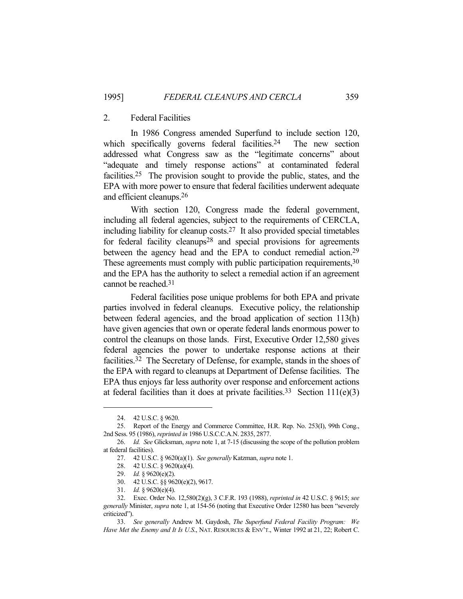# 2. Federal Facilities

 In 1986 Congress amended Superfund to include section 120, which specifically governs federal facilities.<sup>24</sup> The new section addressed what Congress saw as the "legitimate concerns" about "adequate and timely response actions" at contaminated federal facilities.25 The provision sought to provide the public, states, and the EPA with more power to ensure that federal facilities underwent adequate and efficient cleanups.26

 With section 120, Congress made the federal government, including all federal agencies, subject to the requirements of CERCLA, including liability for cleanup costs.27 It also provided special timetables for federal facility cleanups<sup>28</sup> and special provisions for agreements between the agency head and the EPA to conduct remedial action.<sup>29</sup> These agreements must comply with public participation requirements, 30 and the EPA has the authority to select a remedial action if an agreement cannot be reached.31

 Federal facilities pose unique problems for both EPA and private parties involved in federal cleanups. Executive policy, the relationship between federal agencies, and the broad application of section 113(h) have given agencies that own or operate federal lands enormous power to control the cleanups on those lands. First, Executive Order 12,580 gives federal agencies the power to undertake response actions at their facilities.32 The Secretary of Defense, for example, stands in the shoes of the EPA with regard to cleanups at Department of Defense facilities. The EPA thus enjoys far less authority over response and enforcement actions at federal facilities than it does at private facilities.<sup>33</sup> Section  $111(e)(3)$ 

 <sup>24. 42</sup> U.S.C. § 9620.

 <sup>25.</sup> Report of the Energy and Commerce Committee, H.R. Rep. No. 253(I), 99th Cong., 2nd Sess. 95 (1986), *reprinted in* 1986 U.S.C.C.A.N. 2835, 2877.

 <sup>26.</sup> *Id. See* Glicksman, *supra* note 1, at 7-15 (discussing the scope of the pollution problem at federal facilities).

 <sup>27. 42</sup> U.S.C. § 9620(a)(1). *See generally* Katzman, *supra* note 1.

 <sup>28. 42</sup> U.S.C. § 9620(a)(4).

 <sup>29.</sup> *Id.* § 9620(e)(2).

 <sup>30. 42</sup> U.S.C. §§ 9620(e)(2), 9617.

 <sup>31.</sup> *Id.* § 9620(e)(4).

 <sup>32.</sup> Exec. Order No. 12,580(2)(g), 3 C.F.R. 193 (1988), *reprinted in* 42 U.S.C. § 9615; *see generally* Minister, *supra* note 1, at 154-56 (noting that Executive Order 12580 has been "severely criticized").

 <sup>33.</sup> *See generally* Andrew M. Gaydosh, *The Superfund Federal Facility Program: We Have Met the Enemy and It Is U.S*., NAT. RESOURCES & ENV'T., Winter 1992 at 21, 22; Robert C.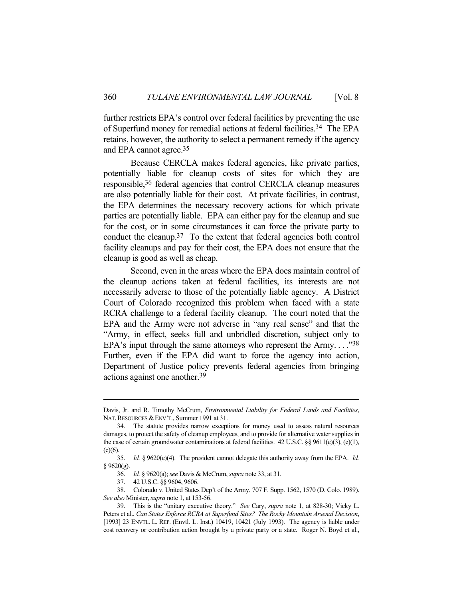further restricts EPA's control over federal facilities by preventing the use of Superfund money for remedial actions at federal facilities.34 The EPA retains, however, the authority to select a permanent remedy if the agency and EPA cannot agree.35

 Because CERCLA makes federal agencies, like private parties, potentially liable for cleanup costs of sites for which they are responsible,36 federal agencies that control CERCLA cleanup measures are also potentially liable for their cost. At private facilities, in contrast, the EPA determines the necessary recovery actions for which private parties are potentially liable. EPA can either pay for the cleanup and sue for the cost, or in some circumstances it can force the private party to conduct the cleanup.37 To the extent that federal agencies both control facility cleanups and pay for their cost, the EPA does not ensure that the cleanup is good as well as cheap.

 Second, even in the areas where the EPA does maintain control of the cleanup actions taken at federal facilities, its interests are not necessarily adverse to those of the potentially liable agency. A District Court of Colorado recognized this problem when faced with a state RCRA challenge to a federal facility cleanup. The court noted that the EPA and the Army were not adverse in "any real sense" and that the "Army, in effect, seeks full and unbridled discretion, subject only to EPA's input through the same attorneys who represent the Army...."38 Further, even if the EPA did want to force the agency into action, Department of Justice policy prevents federal agencies from bringing actions against one another.39

 38. Colorado v. United States Dep't of the Army, 707 F. Supp. 1562, 1570 (D. Colo. 1989). *See also* Minister, *supra* note 1, at 153-56.

Davis, Jr. and R. Timothy McCrum, *Environmental Liability for Federal Lands and Facilities*, NAT. RESOURCES & ENV'T., Summer 1991 at 31.

 <sup>34.</sup> The statute provides narrow exceptions for money used to assess natural resources damages, to protect the safety of cleanup employees, and to provide for alternative water supplies in the case of certain groundwater contaminations at federal facilities. 42 U.S.C. §§ 9611(e)(3), (e)(1),  $(c)(6)$ .

 <sup>35.</sup> *Id.* § 9620(e)(4). The president cannot delegate this authority away from the EPA. *Id.*  $§ 9620(g).$ 

 <sup>36.</sup> *Id.* § 9620(a); *see* Davis & McCrum, *supra* note 33, at 31.

 <sup>37. 42</sup> U.S.C. §§ 9604, 9606.

 <sup>39.</sup> This is the "unitary executive theory." *See* Cary, *supra* note 1, at 828-30; Vicky L. Peters et al., *Can States Enforce RCRA at Superfund Sites? The Rocky Mountain Arsenal Decision*, [1993] 23 ENVTL. L. REP. (Envtl. L. Inst.) 10419, 10421 (July 1993). The agency is liable under cost recovery or contribution action brought by a private party or a state. Roger N. Boyd et al.,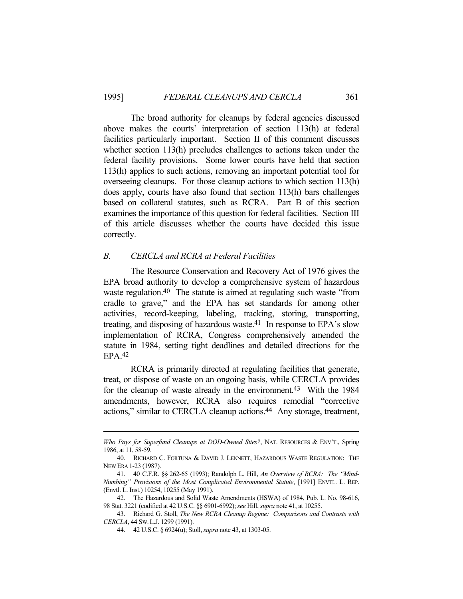The broad authority for cleanups by federal agencies discussed above makes the courts' interpretation of section 113(h) at federal facilities particularly important. Section II of this comment discusses whether section 113(h) precludes challenges to actions taken under the federal facility provisions. Some lower courts have held that section 113(h) applies to such actions, removing an important potential tool for overseeing cleanups. For those cleanup actions to which section 113(h) does apply, courts have also found that section 113(h) bars challenges based on collateral statutes, such as RCRA. Part B of this section examines the importance of this question for federal facilities. Section III of this article discusses whether the courts have decided this issue correctly.

#### *B. CERCLA and RCRA at Federal Facilities*

 The Resource Conservation and Recovery Act of 1976 gives the EPA broad authority to develop a comprehensive system of hazardous waste regulation.<sup>40</sup> The statute is aimed at regulating such waste "from cradle to grave," and the EPA has set standards for among other activities, record-keeping, labeling, tracking, storing, transporting, treating, and disposing of hazardous waste.41 In response to EPA's slow implementation of RCRA, Congress comprehensively amended the statute in 1984, setting tight deadlines and detailed directions for the EPA.42

 RCRA is primarily directed at regulating facilities that generate, treat, or dispose of waste on an ongoing basis, while CERCLA provides for the cleanup of waste already in the environment.<sup>43</sup> With the 1984 amendments, however, RCRA also requires remedial "corrective actions," similar to CERCLA cleanup actions.<sup>44</sup> Any storage, treatment,

*Who Pays for Superfund Cleanups at DOD-Owned Sites?*, NAT. RESOURCES & ENV'T., Spring 1986, at 11, 58-59.

 <sup>40.</sup> RICHARD C. FORTUNA & DAVID J. LENNETT, HAZARDOUS WASTE REGULATION: THE NEW ERA 1-23 (1987).

 <sup>41. 40</sup> C.F.R. §§ 262-65 (1993); Randolph L. Hill, *An Overview of RCRA: The "Mind-Numbing" Provisions of the Most Complicated Environmental Statute*, [1991] ENVTL. L. REP. (Envtl. L. Inst.) 10254, 10255 (May 1991).

 <sup>42.</sup> The Hazardous and Solid Waste Amendments (HSWA) of 1984, Pub. L. No. 98-616, 98 Stat. 3221 (codified at 42 U.S.C. §§ 6901-6992); *see* Hill, *supra* note 41, at 10255.

 <sup>43.</sup> Richard G. Stoll, *The New RCRA Cleanup Regime: Comparisons and Contrasts with CERCLA*, 44 SW.L.J. 1299 (1991).

 <sup>44. 42</sup> U.S.C. § 6924(u); Stoll, *supra* note 43, at 1303-05.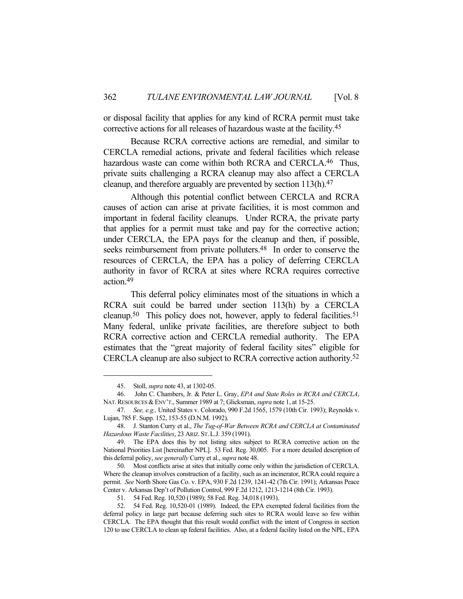or disposal facility that applies for any kind of RCRA permit must take corrective actions for all releases of hazardous waste at the facility.45

 Because RCRA corrective actions are remedial, and similar to CERCLA remedial actions, private and federal facilities which release hazardous waste can come within both RCRA and CERCLA.<sup>46</sup> Thus, private suits challenging a RCRA cleanup may also affect a CERCLA cleanup, and therefore arguably are prevented by section 113(h). 47

 Although this potential conflict between CERCLA and RCRA causes of action can arise at private facilities, it is most common and important in federal facility cleanups. Under RCRA, the private party that applies for a permit must take and pay for the corrective action; under CERCLA, the EPA pays for the cleanup and then, if possible, seeks reimbursement from private polluters.<sup>48</sup> In order to conserve the resources of CERCLA, the EPA has a policy of deferring CERCLA authority in favor of RCRA at sites where RCRA requires corrective action.49

 This deferral policy eliminates most of the situations in which a RCRA suit could be barred under section 113(h) by a CERCLA cleanup.<sup>50</sup> This policy does not, however, apply to federal facilities.<sup>51</sup> Many federal, unlike private facilities, are therefore subject to both RCRA corrective action and CERCLA remedial authority. The EPA estimates that the "great majority of federal facility sites" eligible for CERCLA cleanup are also subject to RCRA corrective action authority.52

 <sup>45.</sup> Stoll, *supra* note 43, at 1302-05.

 <sup>46.</sup> John C. Chambers, Jr. & Peter L. Gray, *EPA and State Roles in RCRA and CERCLA*, NAT. RESOURCES & ENV'T., Summer 1989 at 7; Glicksman, *supra* note 1, at 15-25.

 <sup>47.</sup> *See, e.g.,* United States v. Colorado, 990 F.2d 1565, 1579 (10th Cir. 1993); Reynolds v. Lujan, 785 F. Supp. 152, 153-55 (D.N.M. 1992).

 <sup>48.</sup> J. Stanton Curry et al., *The Tug-of-War Between RCRA and CERCLA at Contaminated Hazardous Waste Facilities*, 23 ARIZ. ST.L.J. 359 (1991).

 <sup>49.</sup> The EPA does this by not listing sites subject to RCRA corrective action on the National Priorities List [hereinafter NPL]. 53 Fed. Reg. 30,005. For a more detailed description of this deferral policy, *see generally* Curry et al., *supra* note 48.

 <sup>50.</sup> Most conflicts arise at sites that initially come only within the jurisdiction of CERCLA. Where the cleanup involves construction of a facility, such as an incinerator, RCRA could require a permit. *See* North Shore Gas Co. v. EPA, 930 F.2d 1239, 1241-42 (7th Cir. 1991); Arkansas Peace Center v. Arkansas Dep't of Pollution Control, 999 F.2d 1212, 1213-1214 (8th Cir. 1993).

 <sup>51. 54</sup> Fed. Reg. 10,520 (1989); 58 Fed. Reg. 34,018 (1993).

 <sup>52. 54</sup> Fed. Reg. 10,520-01 (1989). Indeed, the EPA exempted federal facilities from the deferral policy in large part because deferring such sites to RCRA would leave so few within CERCLA. The EPA thought that this result would conflict with the intent of Congress in section 120 to use CERCLA to clean up federal facilities. Also, at a federal facility listed on the NPL, EPA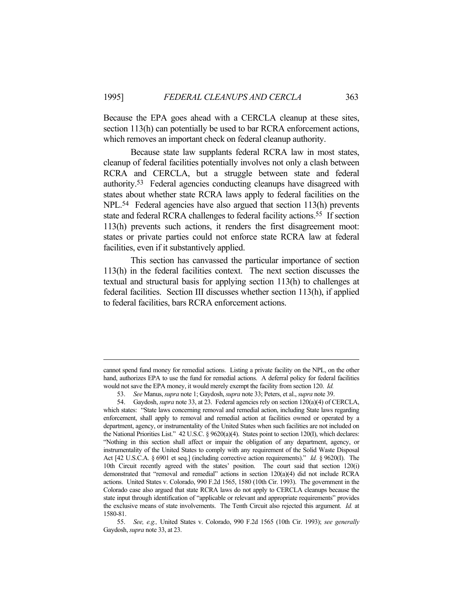Because the EPA goes ahead with a CERCLA cleanup at these sites, section 113(h) can potentially be used to bar RCRA enforcement actions, which removes an important check on federal cleanup authority.

 Because state law supplants federal RCRA law in most states, cleanup of federal facilities potentially involves not only a clash between RCRA and CERCLA, but a struggle between state and federal authority.53 Federal agencies conducting cleanups have disagreed with states about whether state RCRA laws apply to federal facilities on the NPL.54 Federal agencies have also argued that section 113(h) prevents state and federal RCRA challenges to federal facility actions.<sup>55</sup> If section 113(h) prevents such actions, it renders the first disagreement moot: states or private parties could not enforce state RCRA law at federal facilities, even if it substantively applied.

 This section has canvassed the particular importance of section 113(h) in the federal facilities context. The next section discusses the textual and structural basis for applying section 113(h) to challenges at federal facilities. Section III discusses whether section 113(h), if applied to federal facilities, bars RCRA enforcement actions.

cannot spend fund money for remedial actions. Listing a private facility on the NPL, on the other hand, authorizes EPA to use the fund for remedial actions. A deferral policy for federal facilities would not save the EPA money, it would merely exempt the facility from section 120. *Id.*

 <sup>53.</sup> *See* Manus, *supra* note 1; Gaydosh, *supra* note 33; Peters, et al., *supra* note 39.

 <sup>54.</sup> Gaydosh, *supra* note 33, at 23. Federal agencies rely on section 120(a)(4) of CERCLA, which states: "State laws concerning removal and remedial action, including State laws regarding enforcement, shall apply to removal and remedial action at facilities owned or operated by a department, agency, or instrumentality of the United States when such facilities are not included on the National Priorities List." 42 U.S.C. § 9620(a)(4). States point to section 120(I), which declares: "Nothing in this section shall affect or impair the obligation of any department, agency, or instrumentality of the United States to comply with any requirement of the Solid Waste Disposal Act [42 U.S.C.A. § 6901 et seq.] (including corrective action requirements)." *Id.* § 9620(I). The 10th Circuit recently agreed with the states' position. The court said that section 120(i) demonstrated that "removal and remedial" actions in section 120(a)(4) did not include RCRA actions. United States v. Colorado, 990 F.2d 1565, 1580 (10th Cir. 1993). The government in the Colorado case also argued that state RCRA laws do not apply to CERCLA cleanups because the state input through identification of "applicable or relevant and appropriate requirements" provides the exclusive means of state involvements. The Tenth Circuit also rejected this argument. *Id.* at 1580-81.

 <sup>55.</sup> *See, e.g.,* United States v. Colorado, 990 F.2d 1565 (10th Cir. 1993); *see generally* Gaydosh, *supra* note 33, at 23.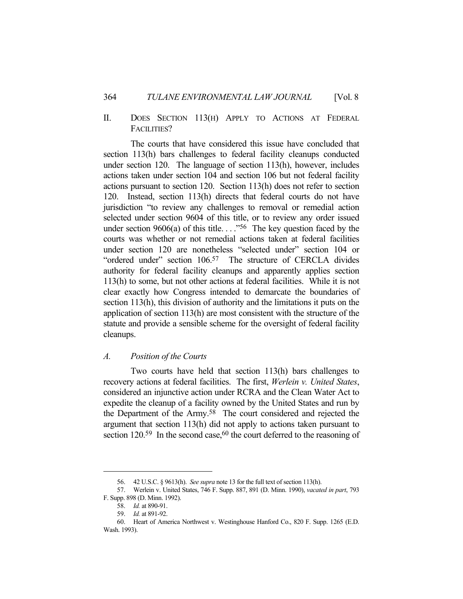# II. DOES SECTION 113(H) APPLY TO ACTIONS AT FEDERAL FACILITIES?

 The courts that have considered this issue have concluded that section 113(h) bars challenges to federal facility cleanups conducted under section 120. The language of section 113(h), however, includes actions taken under section 104 and section 106 but not federal facility actions pursuant to section 120. Section 113(h) does not refer to section 120. Instead, section 113(h) directs that federal courts do not have jurisdiction "to review any challenges to removal or remedial action selected under section 9604 of this title, or to review any order issued under section 9606(a) of this title... ."<sup>56</sup> The key question faced by the courts was whether or not remedial actions taken at federal facilities under section 120 are nonetheless "selected under" section 104 or "ordered under" section 106.<sup>57</sup> The structure of CERCLA divides authority for federal facility cleanups and apparently applies section 113(h) to some, but not other actions at federal facilities. While it is not clear exactly how Congress intended to demarcate the boundaries of section 113(h), this division of authority and the limitations it puts on the application of section 113(h) are most consistent with the structure of the statute and provide a sensible scheme for the oversight of federal facility cleanups.

# *A. Position of the Courts*

 Two courts have held that section 113(h) bars challenges to recovery actions at federal facilities. The first, *Werlein v. United States*, considered an injunctive action under RCRA and the Clean Water Act to expedite the cleanup of a facility owned by the United States and run by the Department of the Army.58 The court considered and rejected the argument that section 113(h) did not apply to actions taken pursuant to section  $120.59$  In the second case,  $60$  the court deferred to the reasoning of

 <sup>56. 42</sup> U.S.C. § 9613(h). *See supra* note 13 for the full text of section 113(h).

 <sup>57.</sup> Werlein v. United States, 746 F. Supp. 887, 891 (D. Minn. 1990), *vacated in part*, 793 F. Supp. 898 (D. Minn. 1992).

 <sup>58.</sup> *Id.* at 890-91.

 <sup>59.</sup> *Id.* at 891-92.

 <sup>60.</sup> Heart of America Northwest v. Westinghouse Hanford Co., 820 F. Supp. 1265 (E.D. Wash. 1993).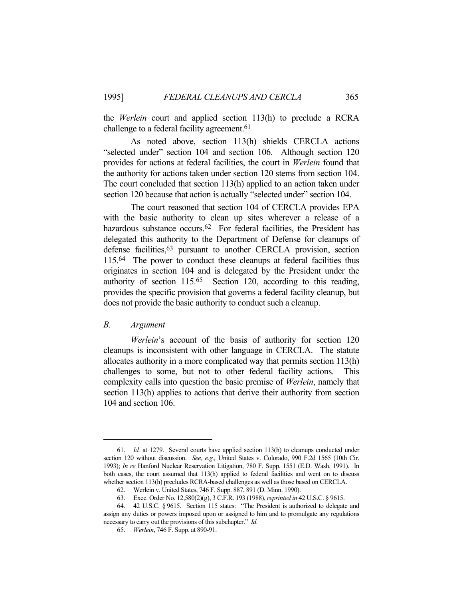the *Werlein* court and applied section 113(h) to preclude a RCRA challenge to a federal facility agreement.<sup>61</sup>

 As noted above, section 113(h) shields CERCLA actions "selected under" section 104 and section 106. Although section 120 provides for actions at federal facilities, the court in *Werlein* found that the authority for actions taken under section 120 stems from section 104. The court concluded that section 113(h) applied to an action taken under section 120 because that action is actually "selected under" section 104.

 The court reasoned that section 104 of CERCLA provides EPA with the basic authority to clean up sites wherever a release of a hazardous substance occurs.<sup>62</sup> For federal facilities, the President has delegated this authority to the Department of Defense for cleanups of defense facilities, <sup>63</sup> pursuant to another CERCLA provision, section 115.64 The power to conduct these cleanups at federal facilities thus originates in section 104 and is delegated by the President under the authority of section 115.65 Section 120, according to this reading, provides the specific provision that governs a federal facility cleanup, but does not provide the basic authority to conduct such a cleanup.

#### *B. Argument*

*Werlein*'s account of the basis of authority for section 120 cleanups is inconsistent with other language in CERCLA. The statute allocates authority in a more complicated way that permits section 113(h) challenges to some, but not to other federal facility actions. This complexity calls into question the basic premise of *Werlein*, namely that section 113(h) applies to actions that derive their authority from section 104 and section 106.

 <sup>61.</sup> *Id.* at 1279. Several courts have applied section 113(h) to cleanups conducted under section 120 without discussion. *See, e.g.,* United States v. Colorado, 990 F.2d 1565 (10th Cir. 1993); *In re* Hanford Nuclear Reservation Litigation, 780 F. Supp. 1551 (E.D. Wash. 1991). In both cases, the court assumed that 113(h) applied to federal facilities and went on to discuss whether section 113(h) precludes RCRA-based challenges as well as those based on CERCLA.

 <sup>62.</sup> Werlein v. United States, 746 F. Supp. 887, 891 (D. Minn. 1990).

 <sup>63.</sup> Exec. Order No. 12,580(2)(g), 3 C.F.R. 193 (1988), *reprinted in* 42 U.S.C. § 9615.

 <sup>64. 42</sup> U.S.C. § 9615. Section 115 states: "The President is authorized to delegate and assign any duties or powers imposed upon or assigned to him and to promulgate any regulations necessary to carry out the provisions of this subchapter." *Id.*

 <sup>65.</sup> *Werlein*, 746 F. Supp. at 890-91.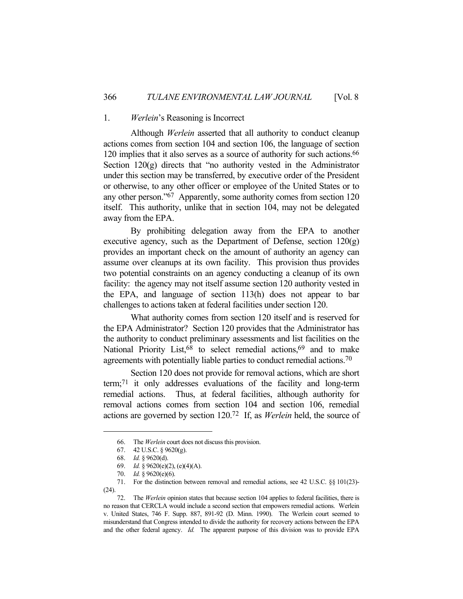#### 1. *Werlein*'s Reasoning is Incorrect

 Although *Werlein* asserted that all authority to conduct cleanup actions comes from section 104 and section 106, the language of section 120 implies that it also serves as a source of authority for such actions.66 Section 120(g) directs that "no authority vested in the Administrator under this section may be transferred, by executive order of the President or otherwise, to any other officer or employee of the United States or to any other person."67 Apparently, some authority comes from section 120 itself. This authority, unlike that in section 104, may not be delegated away from the EPA.

 By prohibiting delegation away from the EPA to another executive agency, such as the Department of Defense, section  $120(g)$ provides an important check on the amount of authority an agency can assume over cleanups at its own facility. This provision thus provides two potential constraints on an agency conducting a cleanup of its own facility: the agency may not itself assume section 120 authority vested in the EPA, and language of section 113(h) does not appear to bar challenges to actions taken at federal facilities under section 120.

 What authority comes from section 120 itself and is reserved for the EPA Administrator? Section 120 provides that the Administrator has the authority to conduct preliminary assessments and list facilities on the National Priority List,  $68$  to select remedial actions,  $69$  and to make agreements with potentially liable parties to conduct remedial actions.70

 Section 120 does not provide for removal actions, which are short term;71 it only addresses evaluations of the facility and long-term remedial actions. Thus, at federal facilities, although authority for removal actions comes from section 104 and section 106, remedial actions are governed by section 120.72 If, as *Werlein* held, the source of

 <sup>66.</sup> The *Werlein* court does not discuss this provision.

 <sup>67. 42</sup> U.S.C. § 9620(g).

 <sup>68.</sup> *Id.* § 9620(d).

 <sup>69.</sup> *Id.* § 9620(e)(2), (e)(4)(A).

 <sup>70.</sup> *Id.* § 9620(e)(6).

 <sup>71.</sup> For the distinction between removal and remedial actions, see 42 U.S.C. §§ 101(23)- (24).

 <sup>72.</sup> The *Werlein* opinion states that because section 104 applies to federal facilities, there is no reason that CERCLA would include a second section that empowers remedial actions. Werlein v. United States, 746 F. Supp. 887, 891-92 (D. Minn. 1990). The Werlein court seemed to misunderstand that Congress intended to divide the authority for recovery actions between the EPA and the other federal agency. *Id.* The apparent purpose of this division was to provide EPA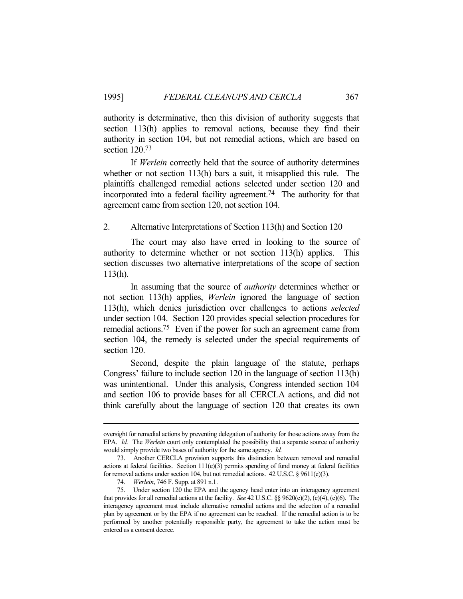authority is determinative, then this division of authority suggests that section 113(h) applies to removal actions, because they find their authority in section 104, but not remedial actions, which are based on section 120.73

 If *Werlein* correctly held that the source of authority determines whether or not section 113(h) bars a suit, it misapplied this rule. The plaintiffs challenged remedial actions selected under section 120 and incorporated into a federal facility agreement.74 The authority for that agreement came from section 120, not section 104.

2. Alternative Interpretations of Section 113(h) and Section 120

 The court may also have erred in looking to the source of authority to determine whether or not section 113(h) applies. This section discusses two alternative interpretations of the scope of section 113(h).

 In assuming that the source of *authority* determines whether or not section 113(h) applies, *Werlein* ignored the language of section 113(h), which denies jurisdiction over challenges to actions *selected* under section 104. Section 120 provides special selection procedures for remedial actions.75 Even if the power for such an agreement came from section 104, the remedy is selected under the special requirements of section 120.

 Second, despite the plain language of the statute, perhaps Congress' failure to include section 120 in the language of section 113(h) was unintentional. Under this analysis, Congress intended section 104 and section 106 to provide bases for all CERCLA actions, and did not think carefully about the language of section 120 that creates its own

oversight for remedial actions by preventing delegation of authority for those actions away from the EPA. *Id.* The *Werlein* court only contemplated the possibility that a separate source of authority would simply provide two bases of authority for the same agency. *Id.*

 <sup>73.</sup> Another CERCLA provision supports this distinction between removal and remedial actions at federal facilities. Section 111(e)(3) permits spending of fund money at federal facilities for removal actions under section 104, but not remedial actions. 42 U.S.C. § 9611(e)(3).

 <sup>74.</sup> *Werlein*, 746 F. Supp. at 891 n.1.

 <sup>75.</sup> Under section 120 the EPA and the agency head enter into an interagency agreement that provides for all remedial actions at the facility. *See* 42 U.S.C. §§ 9620(e)(2), (e)(4), (e)(6). The interagency agreement must include alternative remedial actions and the selection of a remedial plan by agreement or by the EPA if no agreement can be reached. If the remedial action is to be performed by another potentially responsible party, the agreement to take the action must be entered as a consent decree.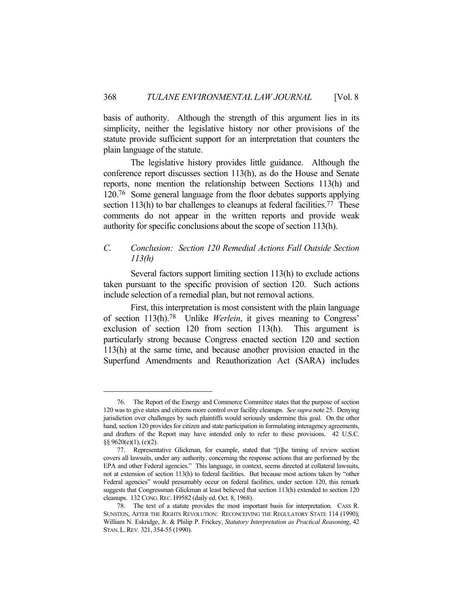basis of authority. Although the strength of this argument lies in its simplicity, neither the legislative history nor other provisions of the statute provide sufficient support for an interpretation that counters the plain language of the statute.

 The legislative history provides little guidance. Although the conference report discusses section 113(h), as do the House and Senate reports, none mention the relationship between Sections 113(h) and 120.76 Some general language from the floor debates supports applying section 113(h) to bar challenges to cleanups at federal facilities.<sup>77</sup> These comments do not appear in the written reports and provide weak authority for specific conclusions about the scope of section 113(h).

# *C. Conclusion: Section 120 Remedial Actions Fall Outside Section 113(h)*

 Several factors support limiting section 113(h) to exclude actions taken pursuant to the specific provision of section 120. Such actions include selection of a remedial plan, but not removal actions.

 First, this interpretation is most consistent with the plain language of section 113(h).78 Unlike *Werlein*, it gives meaning to Congress' exclusion of section 120 from section 113(h). This argument is particularly strong because Congress enacted section 120 and section 113(h) at the same time, and because another provision enacted in the Superfund Amendments and Reauthorization Act (SARA) includes

 <sup>76.</sup> The Report of the Energy and Commerce Committee states that the purpose of section 120 was to give states and citizens more control over facility cleanups. *See supra* note 25. Denying jurisdiction over challenges by such plaintiffs would seriously undermine this goal. On the other hand, section 120 provides for citizen and state participation in formulating interagency agreements, and drafters of the Report may have intended only to refer to these provisions. 42 U.S.C. §§ 9620(e)(1), (e)(2).

 <sup>77.</sup> Representative Glickman, for example, stated that "[t]he timing of review section covers all lawsuits, under any authority, concerning the response actions that are performed by the EPA and other Federal agencies." This language, in context, seems directed at collateral lawsuits, not at extension of section 113(h) to federal facilities. But because most actions taken by "other Federal agencies" would presumably occur on federal facilities, under section 120, this remark suggests that Congressman Glickman at least believed that section 113(h) extended to section 120 cleanups. 132 CONG.REC. H9582 (daily ed. Oct. 8, 1968).

 <sup>78.</sup> The text of a statute provides the most important basis for interpretation. CASS R. SUNSTEIN, AFTER THE RIGHTS REVOLUTION: RECONCEIVING THE REGULATORY STATE 114 (1990); William N. Eskridge, Jr. & Philip P. Frickey, *Statutory Interpretation as Practical Reasoning*, 42 STAN.L.REV. 321, 354-55 (1990).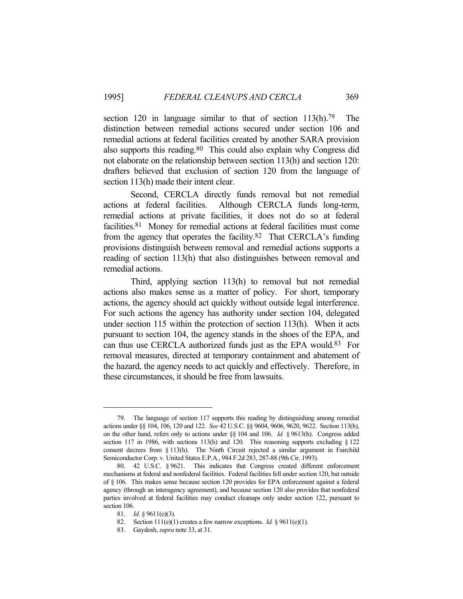section 120 in language similar to that of section 113(h).<sup>79</sup> The distinction between remedial actions secured under section 106 and remedial actions at federal facilities created by another SARA provision also supports this reading.80 This could also explain why Congress did not elaborate on the relationship between section 113(h) and section 120: drafters believed that exclusion of section 120 from the language of section 113(h) made their intent clear.

 Second, CERCLA directly funds removal but not remedial actions at federal facilities. Although CERCLA funds long-term, remedial actions at private facilities, it does not do so at federal facilities.81 Money for remedial actions at federal facilities must come from the agency that operates the facility.82 That CERCLA's funding provisions distinguish between removal and remedial actions supports a reading of section 113(h) that also distinguishes between removal and remedial actions.

 Third, applying section 113(h) to removal but not remedial actions also makes sense as a matter of policy. For short, temporary actions, the agency should act quickly without outside legal interference. For such actions the agency has authority under section 104, delegated under section 115 within the protection of section 113(h). When it acts pursuant to section 104, the agency stands in the shoes of the EPA, and can thus use CERCLA authorized funds just as the EPA would.83 For removal measures, directed at temporary containment and abatement of the hazard, the agency needs to act quickly and effectively. Therefore, in these circumstances, it should be free from lawsuits.

 <sup>79.</sup> The language of section 117 supports this reading by distinguishing among remedial actions under §§ 104, 106, 120 and 122. *See* 42 U.S.C. §§ 9604, 9606, 9620, 9622. Section 113(h), on the other hand, refers only to actions under §§ 104 and 106. *Id.* § 9613(h). Congress added section 117 in 1986, with sections 113(h) and 120. This reasoning supports excluding § 122 consent decrees from § 113(h). The Ninth Circuit rejected a similar argument in Fairchild Semiconductor Corp. v. United States E.P.A., 984 F.2d 283, 287-88 (9th Cir. 1993).

 <sup>80. 42</sup> U.S.C. § 9621. This indicates that Congress created different enforcement mechanisms at federal and nonfederal facilities. Federal facilities fell under section 120, but outside of § 106. This makes sense because section 120 provides for EPA enforcement against a federal agency (through an interagency agreement), and because section 120 also provides that nonfederal parties involved at federal facilities may conduct cleanups only under section 122, pursuant to section 106.

 <sup>81.</sup> *Id.* § 9611(e)(3).

 <sup>82.</sup> Section 111(e)(1) creates a few narrow exceptions. *Id.* § 9611(e)(1).

 <sup>83.</sup> Gaydosh, *supra* note 33, at 31.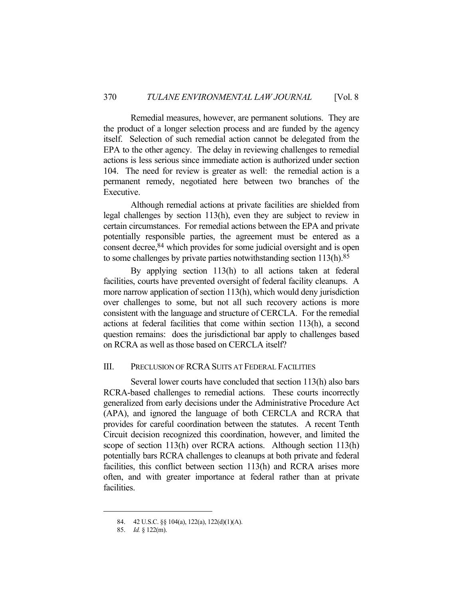Remedial measures, however, are permanent solutions. They are the product of a longer selection process and are funded by the agency itself. Selection of such remedial action cannot be delegated from the EPA to the other agency. The delay in reviewing challenges to remedial actions is less serious since immediate action is authorized under section 104. The need for review is greater as well: the remedial action is a permanent remedy, negotiated here between two branches of the Executive.

 Although remedial actions at private facilities are shielded from legal challenges by section 113(h), even they are subject to review in certain circumstances. For remedial actions between the EPA and private potentially responsible parties, the agreement must be entered as a consent decree,<sup>84</sup> which provides for some judicial oversight and is open to some challenges by private parties notwithstanding section 113(h).85

 By applying section 113(h) to all actions taken at federal facilities, courts have prevented oversight of federal facility cleanups. A more narrow application of section 113(h), which would deny jurisdiction over challenges to some, but not all such recovery actions is more consistent with the language and structure of CERCLA. For the remedial actions at federal facilities that come within section 113(h), a second question remains: does the jurisdictional bar apply to challenges based on RCRA as well as those based on CERCLA itself?

# III. PRECLUSION OF RCRA SUITS AT FEDERAL FACILITIES

 Several lower courts have concluded that section 113(h) also bars RCRA-based challenges to remedial actions. These courts incorrectly generalized from early decisions under the Administrative Procedure Act (APA), and ignored the language of both CERCLA and RCRA that provides for careful coordination between the statutes. A recent Tenth Circuit decision recognized this coordination, however, and limited the scope of section 113(h) over RCRA actions. Although section 113(h) potentially bars RCRA challenges to cleanups at both private and federal facilities, this conflict between section 113(h) and RCRA arises more often, and with greater importance at federal rather than at private facilities.

 <sup>84. 42</sup> U.S.C. §§ 104(a), 122(a), 122(d)(1)(A).

 <sup>85.</sup> *Id.* § 122(m).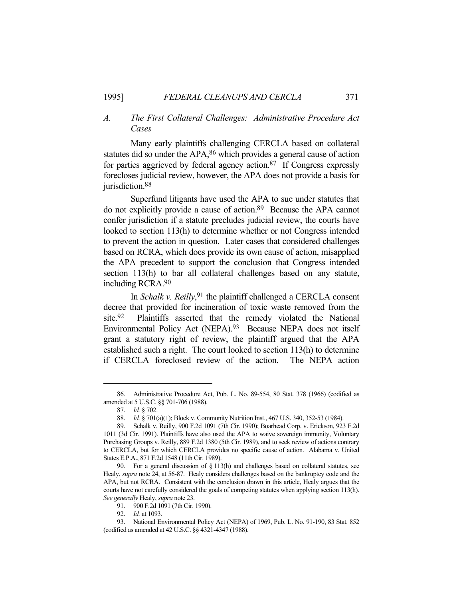# *A. The First Collateral Challenges: Administrative Procedure Act Cases*

 Many early plaintiffs challenging CERCLA based on collateral statutes did so under the APA,<sup>86</sup> which provides a general cause of action for parties aggrieved by federal agency action.87 If Congress expressly forecloses judicial review, however, the APA does not provide a basis for jurisdiction.<sup>88</sup>

 Superfund litigants have used the APA to sue under statutes that do not explicitly provide a cause of action.89 Because the APA cannot confer jurisdiction if a statute precludes judicial review, the courts have looked to section 113(h) to determine whether or not Congress intended to prevent the action in question. Later cases that considered challenges based on RCRA, which does provide its own cause of action, misapplied the APA precedent to support the conclusion that Congress intended section 113(h) to bar all collateral challenges based on any statute, including RCRA.90

In *Schalk v. Reilly*,<sup>91</sup> the plaintiff challenged a CERCLA consent decree that provided for incineration of toxic waste removed from the site.92 Plaintiffs asserted that the remedy violated the National Environmental Policy Act (NEPA).93 Because NEPA does not itself grant a statutory right of review, the plaintiff argued that the APA established such a right. The court looked to section 113(h) to determine if CERCLA foreclosed review of the action. The NEPA action

 <sup>86.</sup> Administrative Procedure Act, Pub. L. No. 89-554, 80 Stat. 378 (1966) (codified as amended at 5 U.S.C. §§ 701-706 (1988).

 <sup>87.</sup> *Id.* § 702.

 <sup>88.</sup> *Id.* § 701(a)(1); Block v. Community Nutrition Inst., 467 U.S. 340, 352-53 (1984).

 <sup>89.</sup> Schalk v. Reilly, 900 F.2d 1091 (7th Cir. 1990); Boarhead Corp. v. Erickson, 923 F.2d 1011 (3d Cir. 1991). Plaintiffs have also used the APA to waive sovereign immunity, Voluntary Purchasing Groups v. Reilly, 889 F.2d 1380 (5th Cir. 1989), and to seek review of actions contrary to CERCLA, but for which CERCLA provides no specific cause of action. Alabama v. United States E.P.A., 871 F.2d 1548 (11th Cir. 1989).

 <sup>90.</sup> For a general discussion of § 113(h) and challenges based on collateral statutes, see Healy, *supra* note 24, at 56-87. Healy considers challenges based on the bankruptcy code and the APA, but not RCRA. Consistent with the conclusion drawn in this article, Healy argues that the courts have not carefully considered the goals of competing statutes when applying section 113(h). *See generally* Healy, *supra* note 23.

 <sup>91. 900</sup> F.2d 1091 (7th Cir. 1990).

 <sup>92.</sup> *Id.* at 1093.

 <sup>93.</sup> National Environmental Policy Act (NEPA) of 1969, Pub. L. No. 91-190, 83 Stat. 852 (codified as amended at 42 U.S.C. §§ 4321-4347 (1988).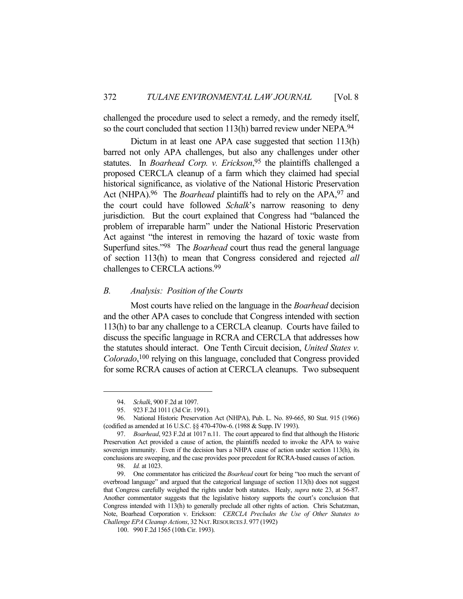challenged the procedure used to select a remedy, and the remedy itself, so the court concluded that section 113(h) barred review under NEPA.94

Dictum in at least one APA case suggested that section 113(h) barred not only APA challenges, but also any challenges under other statutes. In *Boarhead Corp. v. Erickson*, 95 the plaintiffs challenged a proposed CERCLA cleanup of a farm which they claimed had special historical significance, as violative of the National Historic Preservation Act (NHPA).96 The *Boarhead* plaintiffs had to rely on the APA,97 and the court could have followed *Schalk*'s narrow reasoning to deny jurisdiction. But the court explained that Congress had "balanced the problem of irreparable harm" under the National Historic Preservation Act against "the interest in removing the hazard of toxic waste from Superfund sites."98 The *Boarhead* court thus read the general language of section 113(h) to mean that Congress considered and rejected *all* challenges to CERCLA actions.99

# *B. Analysis: Position of the Courts*

 Most courts have relied on the language in the *Boarhead* decision and the other APA cases to conclude that Congress intended with section 113(h) to bar any challenge to a CERCLA cleanup. Courts have failed to discuss the specific language in RCRA and CERCLA that addresses how the statutes should interact. One Tenth Circuit decision, *United States v. Colorado*, 100 relying on this language, concluded that Congress provided for some RCRA causes of action at CERCLA cleanups. Two subsequent

 <sup>94.</sup> *Schalk*, 900 F.2d at 1097.

 <sup>95. 923</sup> F.2d 1011 (3d Cir. 1991).

 <sup>96.</sup> National Historic Preservation Act (NHPA), Pub. L. No. 89-665, 80 Stat. 915 (1966) (codified as amended at 16 U.S.C. §§ 470-470w-6. (1988 & Supp. IV 1993).

 <sup>97.</sup> *Boarhead*, 923 F.2d at 1017 n.11. The court appeared to find that although the Historic Preservation Act provided a cause of action, the plaintiffs needed to invoke the APA to waive sovereign immunity. Even if the decision bars a NHPA cause of action under section 113(h), its conclusions are sweeping, and the case provides poor precedent for RCRA-based causes of action.

 <sup>98.</sup> *Id.* at 1023.

 <sup>99.</sup> One commentator has criticized the *Boarhead* court for being "too much the servant of overbroad language" and argued that the categorical language of section 113(h) does not suggest that Congress carefully weighed the rights under both statutes. Healy, *supra* note 23, at 56-87. Another commentator suggests that the legislative history supports the court's conclusion that Congress intended with 113(h) to generally preclude all other rights of action. Chris Schatzman, Note, Boarhead Corporation v. Erickson: *CERCLA Precludes the Use of Other Statutes to Challenge EPA Cleanup Actions*, 32 NAT. RESOURCES J. 977 (1992)

 <sup>100. 990</sup> F.2d 1565 (10th Cir. 1993).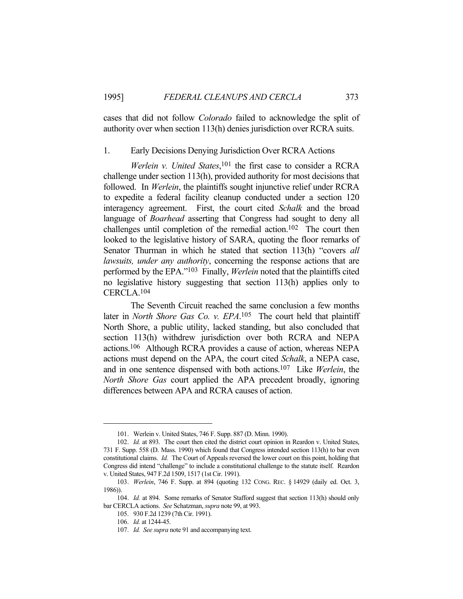cases that did not follow *Colorado* failed to acknowledge the split of authority over when section 113(h) denies jurisdiction over RCRA suits.

#### 1. Early Decisions Denying Jurisdiction Over RCRA Actions

*Werlein v. United States*, 101 the first case to consider a RCRA challenge under section 113(h), provided authority for most decisions that followed. In *Werlein*, the plaintiffs sought injunctive relief under RCRA to expedite a federal facility cleanup conducted under a section 120 interagency agreement. First, the court cited *Schalk* and the broad language of *Boarhead* asserting that Congress had sought to deny all challenges until completion of the remedial action.102 The court then looked to the legislative history of SARA, quoting the floor remarks of Senator Thurman in which he stated that section 113(h) "covers *all lawsuits, under any authority*, concerning the response actions that are performed by the EPA."103 Finally, *Werlein* noted that the plaintiffs cited no legislative history suggesting that section 113(h) applies only to CERCLA.104

 The Seventh Circuit reached the same conclusion a few months later in *North Shore Gas Co. v. EPA*. 105 The court held that plaintiff North Shore, a public utility, lacked standing, but also concluded that section 113(h) withdrew jurisdiction over both RCRA and NEPA actions.106 Although RCRA provides a cause of action, whereas NEPA actions must depend on the APA, the court cited *Schalk*, a NEPA case, and in one sentence dispensed with both actions.107 Like *Werlein*, the *North Shore Gas* court applied the APA precedent broadly, ignoring differences between APA and RCRA causes of action.

 <sup>101.</sup> Werlein v. United States, 746 F. Supp. 887 (D. Minn. 1990).

 <sup>102.</sup> *Id.* at 893. The court then cited the district court opinion in Reardon v. United States, 731 F. Supp. 558 (D. Mass. 1990) which found that Congress intended section 113(h) to bar even constitutional claims. *Id.* The Court of Appeals reversed the lower court on this point, holding that Congress did intend "challenge" to include a constitutional challenge to the statute itself. Reardon v. United States, 947 F.2d 1509, 1517 (1st Cir. 1991).

 <sup>103.</sup> *Werlein*, 746 F. Supp. at 894 (quoting 132 CONG. REC. § 14929 (daily ed. Oct. 3, 1986)).

 <sup>104.</sup> *Id.* at 894. Some remarks of Senator Stafford suggest that section 113(h) should only bar CERCLA actions. *See* Schatzman, *supra* note 99, at 993.

 <sup>105. 930</sup> F.2d 1239 (7th Cir. 1991).

 <sup>106.</sup> *Id.* at 1244-45.

 <sup>107.</sup> *Id. See supra* note 91 and accompanying text.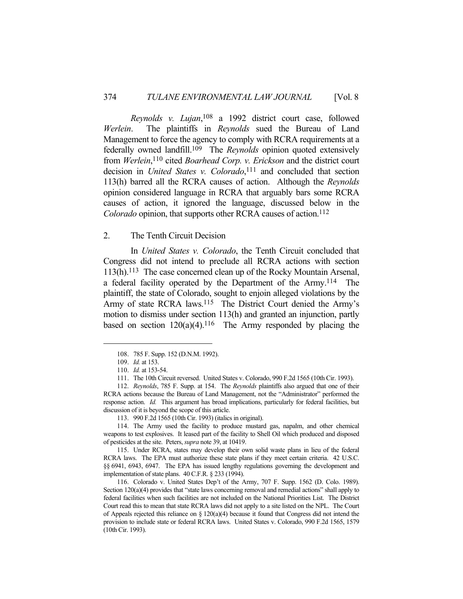*Reynolds v. Lujan*, 108 a 1992 district court case, followed *Werlein*. The plaintiffs in *Reynolds* sued the Bureau of Land Management to force the agency to comply with RCRA requirements at a federally owned landfill.109 The *Reynolds* opinion quoted extensively from *Werlein*, 110 cited *Boarhead Corp. v. Erickson* and the district court decision in *United States v. Colorado*, 111 and concluded that section 113(h) barred all the RCRA causes of action. Although the *Reynolds* opinion considered language in RCRA that arguably bars some RCRA causes of action, it ignored the language, discussed below in the *Colorado* opinion, that supports other RCRA causes of action.<sup>112</sup>

#### 2. The Tenth Circuit Decision

 In *United States v. Colorado*, the Tenth Circuit concluded that Congress did not intend to preclude all RCRA actions with section 113(h).113 The case concerned clean up of the Rocky Mountain Arsenal, a federal facility operated by the Department of the Army.114 The plaintiff, the state of Colorado, sought to enjoin alleged violations by the Army of state RCRA laws.<sup>115</sup> The District Court denied the Army's motion to dismiss under section 113(h) and granted an injunction, partly based on section  $120(a)(4)$ .<sup>116</sup> The Army responded by placing the

 115. Under RCRA, states may develop their own solid waste plans in lieu of the federal RCRA laws. The EPA must authorize these state plans if they meet certain criteria. 42 U.S.C. §§ 6941, 6943, 6947. The EPA has issued lengthy regulations governing the development and implementation of state plans. 40 C.F.R. § 233 (1994).

 116. Colorado v. United States Dep't of the Army, 707 F. Supp. 1562 (D. Colo. 1989). Section 120(a)(4) provides that "state laws concerning removal and remedial actions" shall apply to federal facilities when such facilities are not included on the National Priorities List. The District Court read this to mean that state RCRA laws did not apply to a site listed on the NPL. The Court of Appeals rejected this reliance on § 120(a)(4) because it found that Congress did not intend the provision to include state or federal RCRA laws. United States v. Colorado, 990 F.2d 1565, 1579 (10th Cir. 1993).

 <sup>108. 785</sup> F. Supp. 152 (D.N.M. 1992).

 <sup>109.</sup> *Id.* at 153.

 <sup>110.</sup> *Id.* at 153-54.

 <sup>111.</sup> The 10th Circuit reversed. United States v. Colorado, 990 F.2d 1565 (10th Cir. 1993).

 <sup>112.</sup> *Reynolds*, 785 F. Supp. at 154. The *Reynolds* plaintiffs also argued that one of their RCRA actions because the Bureau of Land Management, not the "Administrator" performed the response action. *Id.* This argument has broad implications, particularly for federal facilities, but discussion of it is beyond the scope of this article.

 <sup>113. 990</sup> F.2d 1565 (10th Cir. 1993) (italics in original).

 <sup>114.</sup> The Army used the facility to produce mustard gas, napalm, and other chemical weapons to test explosives. It leased part of the facility to Shell Oil which produced and disposed of pesticides at the site. Peters, *supra* note 39, at 10419.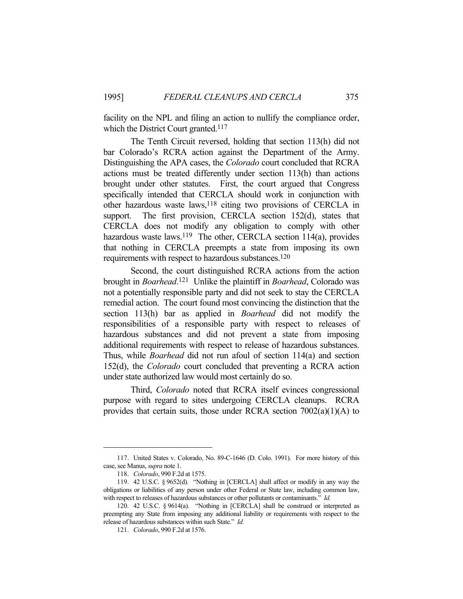facility on the NPL and filing an action to nullify the compliance order, which the District Court granted.<sup>117</sup>

 The Tenth Circuit reversed, holding that section 113(h) did not bar Colorado's RCRA action against the Department of the Army. Distinguishing the APA cases, the *Colorado* court concluded that RCRA actions must be treated differently under section 113(h) than actions brought under other statutes. First, the court argued that Congress specifically intended that CERCLA should work in conjunction with other hazardous waste laws,<sup>118</sup> citing two provisions of CERCLA in support. The first provision, CERCLA section 152(d), states that CERCLA does not modify any obligation to comply with other hazardous waste laws.<sup>119</sup> The other, CERCLA section 114(a), provides that nothing in CERCLA preempts a state from imposing its own requirements with respect to hazardous substances.120

 Second, the court distinguished RCRA actions from the action brought in *Boarhead*. 121 Unlike the plaintiff in *Boarhead*, Colorado was not a potentially responsible party and did not seek to stay the CERCLA remedial action. The court found most convincing the distinction that the section 113(h) bar as applied in *Boarhead* did not modify the responsibilities of a responsible party with respect to releases of hazardous substances and did not prevent a state from imposing additional requirements with respect to release of hazardous substances. Thus, while *Boarhead* did not run afoul of section 114(a) and section 152(d), the *Colorado* court concluded that preventing a RCRA action under state authorized law would most certainly do so.

 Third, *Colorado* noted that RCRA itself evinces congressional purpose with regard to sites undergoing CERCLA cleanups. RCRA provides that certain suits, those under RCRA section 7002(a)(1)(A) to

 <sup>117.</sup> United States v. Colorado, No. 89-C-1646 (D. Colo. 1991). For more history of this case, see Manus, *supra* note 1.

 <sup>118.</sup> *Colorado*, 990 F.2d at 1575.

 <sup>119. 42</sup> U.S.C. § 9652(d). "Nothing in [CERCLA] shall affect or modify in any way the obligations or liabilities of any person under other Federal or State law, including common law, with respect to releases of hazardous substances or other pollutants or contaminants." *Id.*

 <sup>120. 42</sup> U.S.C. § 9614(a). "Nothing in [CERCLA] shall be construed or interpreted as preempting any State from imposing any additional liability or requirements with respect to the release of hazardous substances within such State." *Id.*

 <sup>121.</sup> *Colorado*, 990 F.2d at 1576.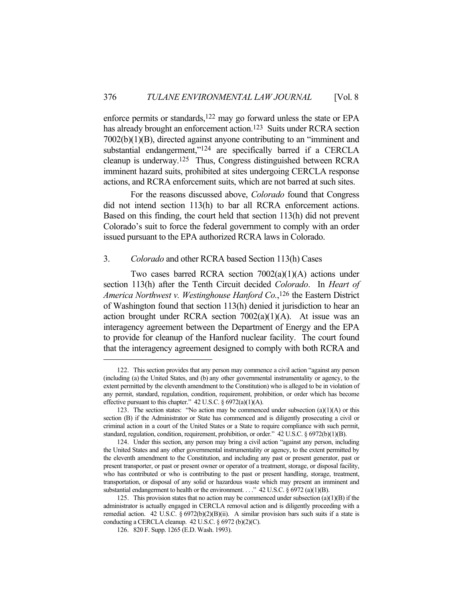enforce permits or standards,<sup>122</sup> may go forward unless the state or EPA has already brought an enforcement action.<sup>123</sup> Suits under RCRA section 7002(b)(1)(B), directed against anyone contributing to an "imminent and substantial endangerment,"<sup>124</sup> are specifically barred if a CERCLA cleanup is underway.125 Thus, Congress distinguished between RCRA imminent hazard suits, prohibited at sites undergoing CERCLA response actions, and RCRA enforcement suits, which are not barred at such sites.

 For the reasons discussed above, *Colorado* found that Congress did not intend section 113(h) to bar all RCRA enforcement actions. Based on this finding, the court held that section 113(h) did not prevent Colorado's suit to force the federal government to comply with an order issued pursuant to the EPA authorized RCRA laws in Colorado.

### 3. *Colorado* and other RCRA based Section 113(h) Cases

 Two cases barred RCRA section 7002(a)(1)(A) actions under section 113(h) after the Tenth Circuit decided *Colorado*. In *Heart of America Northwest v. Westinghouse Hanford Co.*, 126 the Eastern District of Washington found that section 113(h) denied it jurisdiction to hear an action brought under RCRA section  $7002(a)(1)(A)$ . At issue was an interagency agreement between the Department of Energy and the EPA to provide for cleanup of the Hanford nuclear facility. The court found that the interagency agreement designed to comply with both RCRA and

 <sup>122.</sup> This section provides that any person may commence a civil action "against any person (including (a) the United States, and (b) any other governmental instrumentality or agency, to the extent permitted by the eleventh amendment to the Constitution) who is alleged to be in violation of any permit, standard, regulation, condition, requirement, prohibition, or order which has become effective pursuant to this chapter." 42 U.S.C. § 6972(a)(1)(A).

<sup>123.</sup> The section states: "No action may be commenced under subsection  $(a)(1)(A)$  or this section (B) if the Administrator or State has commenced and is diligently prosecuting a civil or criminal action in a court of the United States or a State to require compliance with such permit, standard, regulation, condition, requirement, prohibition, or order." 42 U.S.C. § 6972(b)(1)(B).

 <sup>124.</sup> Under this section, any person may bring a civil action "against any person, including the United States and any other governmental instrumentality or agency, to the extent permitted by the eleventh amendment to the Constitution, and including any past or present generator, past or present transporter, or past or present owner or operator of a treatment, storage, or disposal facility, who has contributed or who is contributing to the past or present handling, storage, treatment, transportation, or disposal of any solid or hazardous waste which may present an imminent and substantial endangerment to health or the environment. . . ." 42 U.S.C.  $\S 6972$  (a)(1)(B).

<sup>125.</sup> This provision states that no action may be commenced under subsection  $(a)(1)(B)$  if the administrator is actually engaged in CERCLA removal action and is diligently proceeding with a remedial action. 42 U.S.C. § 6972(b)(2)(B)(ii). A similar provision bars such suits if a state is conducting a CERCLA cleanup. 42 U.S.C. § 6972 (b)(2)(C).

 <sup>126. 820</sup> F. Supp. 1265 (E.D. Wash. 1993).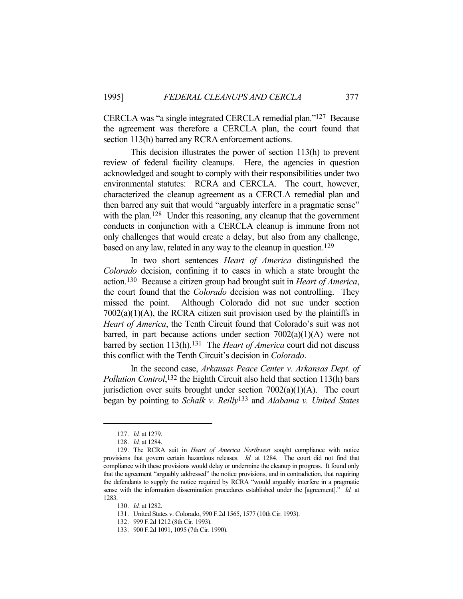CERCLA was "a single integrated CERCLA remedial plan."127 Because the agreement was therefore a CERCLA plan, the court found that section 113(h) barred any RCRA enforcement actions.

 This decision illustrates the power of section 113(h) to prevent review of federal facility cleanups. Here, the agencies in question acknowledged and sought to comply with their responsibilities under two environmental statutes: RCRA and CERCLA. The court, however, characterized the cleanup agreement as a CERCLA remedial plan and then barred any suit that would "arguably interfere in a pragmatic sense" with the plan.<sup>128</sup> Under this reasoning, any cleanup that the government conducts in conjunction with a CERCLA cleanup is immune from not only challenges that would create a delay, but also from any challenge, based on any law, related in any way to the cleanup in question. 129

 In two short sentences *Heart of America* distinguished the *Colorado* decision, confining it to cases in which a state brought the action.130 Because a citizen group had brought suit in *Heart of America*, the court found that the *Colorado* decision was not controlling. They missed the point. Although Colorado did not sue under section  $7002(a)(1)(A)$ , the RCRA citizen suit provision used by the plaintiffs in *Heart of America*, the Tenth Circuit found that Colorado's suit was not barred, in part because actions under section  $7002(a)(1)(A)$  were not barred by section 113(h).<sup>131</sup> The *Heart of America* court did not discuss this conflict with the Tenth Circuit's decision in *Colorado*.

 In the second case, *Arkansas Peace Center v. Arkansas Dept. of Pollution Control*, 132 the Eighth Circuit also held that section 113(h) bars jurisdiction over suits brought under section 7002(a)(1)(A). The court began by pointing to *Schalk v. Reilly*133 and *Alabama v. United States* 

 <sup>127.</sup> *Id.* at 1279.

 <sup>128.</sup> *Id.* at 1284.

 <sup>129.</sup> The RCRA suit in *Heart of America Northwest* sought compliance with notice provisions that govern certain hazardous releases. *Id.* at 1284. The court did not find that compliance with these provisions would delay or undermine the cleanup in progress. It found only that the agreement "arguably addressed" the notice provisions, and in contradiction, that requiring the defendants to supply the notice required by RCRA "would arguably interfere in a pragmatic sense with the information dissemination procedures established under the [agreement]." *Id.* at 1283.

 <sup>130.</sup> *Id.* at 1282.

 <sup>131.</sup> United States v. Colorado, 990 F.2d 1565, 1577 (10th Cir. 1993).

 <sup>132. 999</sup> F.2d 1212 (8th Cir. 1993).

 <sup>133. 900</sup> F.2d 1091, 1095 (7th Cir. 1990).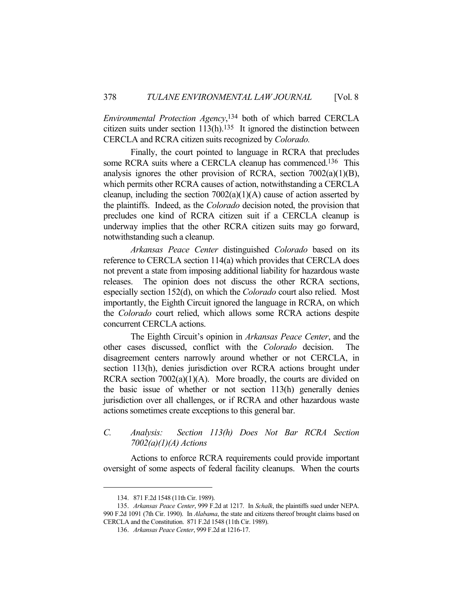*Environmental Protection Agency*, 134 both of which barred CERCLA citizen suits under section  $113(h)$ .<sup>135</sup> It ignored the distinction between CERCLA and RCRA citizen suits recognized by *Colorado.*

 Finally, the court pointed to language in RCRA that precludes some RCRA suits where a CERCLA cleanup has commenced.<sup>136</sup> This analysis ignores the other provision of RCRA, section  $7002(a)(1)(B)$ , which permits other RCRA causes of action, notwithstanding a CERCLA cleanup, including the section  $7002(a)(1)(A)$  cause of action asserted by the plaintiffs. Indeed, as the *Colorado* decision noted, the provision that precludes one kind of RCRA citizen suit if a CERCLA cleanup is underway implies that the other RCRA citizen suits may go forward, notwithstanding such a cleanup.

*Arkansas Peace Center* distinguished *Colorado* based on its reference to CERCLA section 114(a) which provides that CERCLA does not prevent a state from imposing additional liability for hazardous waste releases. The opinion does not discuss the other RCRA sections, especially section 152(d), on which the *Colorado* court also relied. Most importantly, the Eighth Circuit ignored the language in RCRA, on which the *Colorado* court relied, which allows some RCRA actions despite concurrent CERCLA actions.

 The Eighth Circuit's opinion in *Arkansas Peace Center*, and the other cases discussed, conflict with the *Colorado* decision. The disagreement centers narrowly around whether or not CERCLA, in section 113(h), denies jurisdiction over RCRA actions brought under RCRA section  $7002(a)(1)(A)$ . More broadly, the courts are divided on the basic issue of whether or not section 113(h) generally denies jurisdiction over all challenges, or if RCRA and other hazardous waste actions sometimes create exceptions to this general bar.

# *C. Analysis: Section 113(h) Does Not Bar RCRA Section 7002(a)(1)(A) Actions*

 Actions to enforce RCRA requirements could provide important oversight of some aspects of federal facility cleanups. When the courts

 <sup>134. 871</sup> F.2d 1548 (11th Cir. 1989).

 <sup>135.</sup> *Arkansas Peace Center*, 999 F.2d at 1217. In *Schalk*, the plaintiffs sued under NEPA. 990 F.2d 1091 (7th Cir. 1990). In *Alabama*, the state and citizens thereof brought claims based on CERCLA and the Constitution. 871 F.2d 1548 (11th Cir. 1989).

 <sup>136.</sup> *Arkansas Peace Center*, 999 F.2d at 1216-17.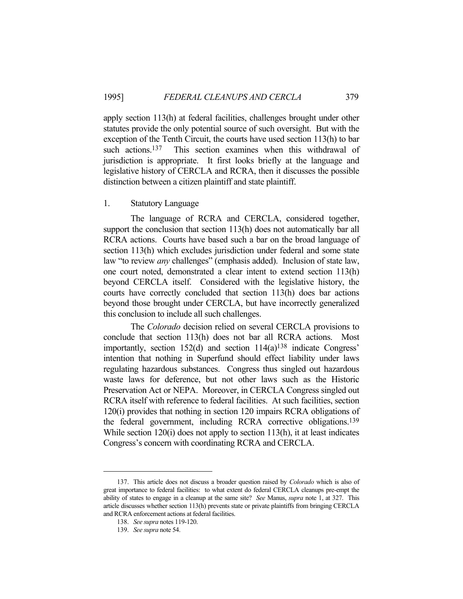apply section 113(h) at federal facilities, challenges brought under other statutes provide the only potential source of such oversight. But with the exception of the Tenth Circuit, the courts have used section 113(h) to bar such actions.<sup>137</sup> This section examines when this withdrawal of jurisdiction is appropriate. It first looks briefly at the language and legislative history of CERCLA and RCRA, then it discusses the possible distinction between a citizen plaintiff and state plaintiff.

# 1. Statutory Language

 The language of RCRA and CERCLA, considered together, support the conclusion that section 113(h) does not automatically bar all RCRA actions. Courts have based such a bar on the broad language of section 113(h) which excludes jurisdiction under federal and some state law "to review *any* challenges" (emphasis added). Inclusion of state law, one court noted, demonstrated a clear intent to extend section 113(h) beyond CERCLA itself. Considered with the legislative history, the courts have correctly concluded that section 113(h) does bar actions beyond those brought under CERCLA, but have incorrectly generalized this conclusion to include all such challenges.

 The *Colorado* decision relied on several CERCLA provisions to conclude that section 113(h) does not bar all RCRA actions. Most importantly, section 152(d) and section 114(a)138 indicate Congress' intention that nothing in Superfund should effect liability under laws regulating hazardous substances. Congress thus singled out hazardous waste laws for deference, but not other laws such as the Historic Preservation Act or NEPA. Moreover, in CERCLA Congress singled out RCRA itself with reference to federal facilities. At such facilities, section 120(i) provides that nothing in section 120 impairs RCRA obligations of the federal government, including RCRA corrective obligations.139 While section 120(i) does not apply to section 113(h), it at least indicates Congress's concern with coordinating RCRA and CERCLA.

 <sup>137.</sup> This article does not discuss a broader question raised by *Colorado* which is also of great importance to federal facilities: to what extent do federal CERCLA cleanups pre-empt the ability of states to engage in a cleanup at the same site? *See* Manus, *supra* note 1, at 327. This article discusses whether section 113(h) prevents state or private plaintiffs from bringing CERCLA and RCRA enforcement actions at federal facilities.

 <sup>138.</sup> *See supra* notes 119-120.

 <sup>139.</sup> *See supra* note 54.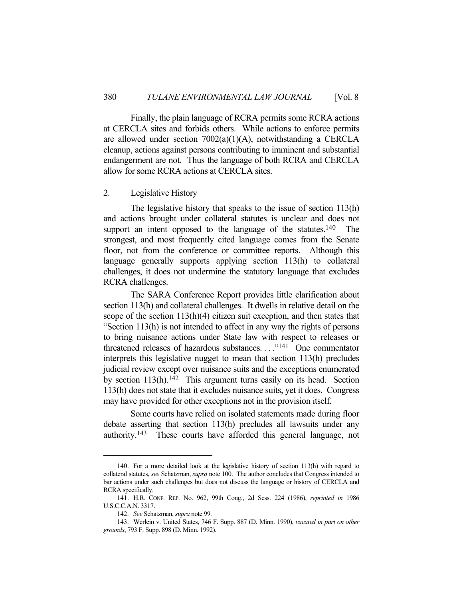Finally, the plain language of RCRA permits some RCRA actions at CERCLA sites and forbids others. While actions to enforce permits are allowed under section  $7002(a)(1)(A)$ , notwithstanding a CERCLA cleanup, actions against persons contributing to imminent and substantial endangerment are not. Thus the language of both RCRA and CERCLA allow for some RCRA actions at CERCLA sites.

# 2. Legislative History

 The legislative history that speaks to the issue of section 113(h) and actions brought under collateral statutes is unclear and does not support an intent opposed to the language of the statutes.<sup>140</sup> The strongest, and most frequently cited language comes from the Senate floor, not from the conference or committee reports. Although this language generally supports applying section 113(h) to collateral challenges, it does not undermine the statutory language that excludes RCRA challenges.

 The SARA Conference Report provides little clarification about section 113(h) and collateral challenges. It dwells in relative detail on the scope of the section 113(h)(4) citizen suit exception, and then states that "Section 113(h) is not intended to affect in any way the rights of persons to bring nuisance actions under State law with respect to releases or threatened releases of hazardous substances. . . ."141 One commentator interprets this legislative nugget to mean that section 113(h) precludes judicial review except over nuisance suits and the exceptions enumerated by section 113(h).142 This argument turns easily on its head. Section 113(h) does not state that it excludes nuisance suits, yet it does. Congress may have provided for other exceptions not in the provision itself.

 Some courts have relied on isolated statements made during floor debate asserting that section 113(h) precludes all lawsuits under any authority.143 These courts have afforded this general language, not

 <sup>140.</sup> For a more detailed look at the legislative history of section 113(h) with regard to collateral statutes, *see* Schatzman, *supra* note 100. The author concludes that Congress intended to bar actions under such challenges but does not discuss the language or history of CERCLA and RCRA specifically.

 <sup>141.</sup> H.R. CONF. REP. No. 962, 99th Cong., 2d Sess. 224 (1986), *reprinted in* 1986 U.S.C.C.A.N. 3317.

 <sup>142.</sup> *See* Schatzman, *supra* note 99.

 <sup>143.</sup> Werlein v. United States, 746 F. Supp. 887 (D. Minn. 1990), *vacated in part on other grounds*, 793 F. Supp. 898 (D. Minn. 1992).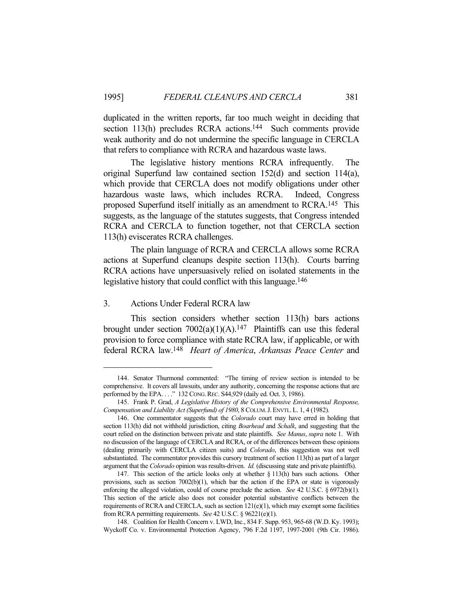duplicated in the written reports, far too much weight in deciding that section 113(h) precludes RCRA actions.<sup>144</sup> Such comments provide weak authority and do not undermine the specific language in CERCLA that refers to compliance with RCRA and hazardous waste laws.

 The legislative history mentions RCRA infrequently. The original Superfund law contained section 152(d) and section 114(a), which provide that CERCLA does not modify obligations under other hazardous waste laws, which includes RCRA. Indeed, Congress proposed Superfund itself initially as an amendment to RCRA.145 This suggests, as the language of the statutes suggests, that Congress intended RCRA and CERCLA to function together, not that CERCLA section 113(h) eviscerates RCRA challenges.

 The plain language of RCRA and CERCLA allows some RCRA actions at Superfund cleanups despite section 113(h). Courts barring RCRA actions have unpersuasively relied on isolated statements in the legislative history that could conflict with this language.<sup>146</sup>

# 3. Actions Under Federal RCRA law

 This section considers whether section 113(h) bars actions brought under section  $7002(a)(1)(A).<sup>147</sup>$  Plaintiffs can use this federal provision to force compliance with state RCRA law, if applicable, or with federal RCRA law.148 *Heart of America*, *Arkansas Peace Center* and

 <sup>144.</sup> Senator Thurmond commented: "The timing of review section is intended to be comprehensive. It covers all lawsuits, under any authority, concerning the response actions that are performed by the EPA. . . ." 132 CONG. REC. S44,929 (daily ed. Oct. 3, 1986).

 <sup>145.</sup> Frank P. Grad, *A Legislative History of the Comprehensive Environmental Response, Compensation and Liability Act (Superfund) of 1980*, 8 COLUM.J.ENVTL.L. 1, 4 (1982).

 <sup>146.</sup> One commentator suggests that the *Colorado* court may have erred in holding that section 113(h) did not withhold jurisdiction, citing *Boarhead* and *Schalk*, and suggesting that the court relied on the distinction between private and state plaintiffs. *See Manus*, *supra* note 1. With no discussion of the language of CERCLA and RCRA, or of the differences between these opinions (dealing primarily with CERCLA citizen suits) and *Colorado*, this suggestion was not well substantiated. The commentator provides this cursory treatment of section 113(h) as part of a larger argument that the *Colorado* opinion was results-driven. *Id.* (discussing state and private plaintiffs).

 <sup>147.</sup> This section of the article looks only at whether § 113(h) bars such actions. Other provisions, such as section 7002(b)(1), which bar the action if the EPA or state is vigorously enforcing the alleged violation, could of course preclude the action. *See* 42 U.S.C. § 6972(b)(1). This section of the article also does not consider potential substantive conflicts between the requirements of RCRA and CERCLA, such as section  $121(e)(1)$ , which may exempt some facilities from RCRA permitting requirements. *See* 42 U.S.C. § 96221(e)(1).

 <sup>148.</sup> Coalition for Health Concern v. LWD, Inc., 834 F. Supp. 953, 965-68 (W.D. Ky. 1993); Wyckoff Co. v. Environmental Protection Agency, 796 F.2d 1197, 1997-2001 (9th Cir. 1986).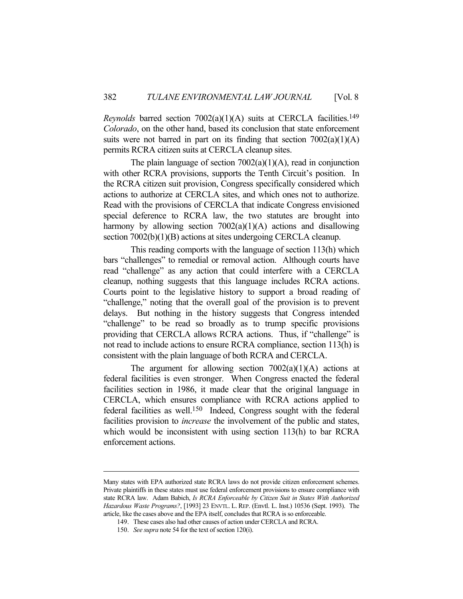*Reynolds* barred section 7002(a)(1)(A) suits at CERCLA facilities.<sup>149</sup> *Colorado*, on the other hand, based its conclusion that state enforcement suits were not barred in part on its finding that section  $7002(a)(1)(A)$ permits RCRA citizen suits at CERCLA cleanup sites.

The plain language of section  $7002(a)(1)(A)$ , read in conjunction with other RCRA provisions, supports the Tenth Circuit's position. In the RCRA citizen suit provision, Congress specifically considered which actions to authorize at CERCLA sites, and which ones not to authorize. Read with the provisions of CERCLA that indicate Congress envisioned special deference to RCRA law, the two statutes are brought into harmony by allowing section  $7002(a)(1)(A)$  actions and disallowing section 7002(b)(1)(B) actions at sites undergoing CERCLA cleanup.

 This reading comports with the language of section 113(h) which bars "challenges" to remedial or removal action. Although courts have read "challenge" as any action that could interfere with a CERCLA cleanup, nothing suggests that this language includes RCRA actions. Courts point to the legislative history to support a broad reading of "challenge," noting that the overall goal of the provision is to prevent delays. But nothing in the history suggests that Congress intended "challenge" to be read so broadly as to trump specific provisions providing that CERCLA allows RCRA actions. Thus, if "challenge" is not read to include actions to ensure RCRA compliance, section 113(h) is consistent with the plain language of both RCRA and CERCLA.

The argument for allowing section  $7002(a)(1)(A)$  actions at federal facilities is even stronger. When Congress enacted the federal facilities section in 1986, it made clear that the original language in CERCLA, which ensures compliance with RCRA actions applied to federal facilities as well.150 Indeed, Congress sought with the federal facilities provision to *increase* the involvement of the public and states, which would be inconsistent with using section 113(h) to bar RCRA enforcement actions.

Many states with EPA authorized state RCRA laws do not provide citizen enforcement schemes. Private plaintiffs in these states must use federal enforcement provisions to ensure compliance with state RCRA law. Adam Babich, *Is RCRA Enforceable by Citizen Suit in States With Authorized Hazardous Waste Programs?*, [1993] 23 ENVTL. L. REP. (Envtl. L. Inst.) 10536 (Sept. 1993). The article, like the cases above and the EPA itself, concludes that RCRA is so enforceable.

 <sup>149.</sup> These cases also had other causes of action under CERCLA and RCRA.

 <sup>150.</sup> *See supra* note 54 for the text of section 120(i).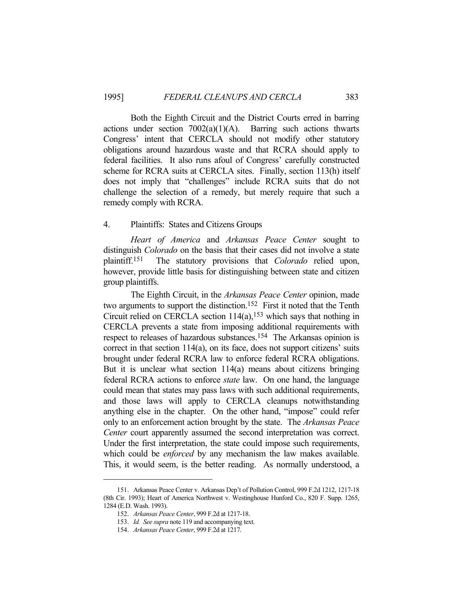Both the Eighth Circuit and the District Courts erred in barring actions under section  $7002(a)(1)(A)$ . Barring such actions thwarts Congress' intent that CERCLA should not modify other statutory obligations around hazardous waste and that RCRA should apply to federal facilities. It also runs afoul of Congress' carefully constructed scheme for RCRA suits at CERCLA sites. Finally, section 113(h) itself does not imply that "challenges" include RCRA suits that do not challenge the selection of a remedy, but merely require that such a remedy comply with RCRA.

# 4. Plaintiffs: States and Citizens Groups

*Heart of America* and *Arkansas Peace Center* sought to distinguish *Colorado* on the basis that their cases did not involve a state plaintiff.151 The statutory provisions that *Colorado* relied upon, however, provide little basis for distinguishing between state and citizen group plaintiffs.

 The Eighth Circuit, in the *Arkansas Peace Center* opinion, made two arguments to support the distinction.152 First it noted that the Tenth Circuit relied on CERCLA section  $114(a)$ ,<sup>153</sup> which says that nothing in CERCLA prevents a state from imposing additional requirements with respect to releases of hazardous substances.154 The Arkansas opinion is correct in that section 114(a), on its face, does not support citizens' suits brought under federal RCRA law to enforce federal RCRA obligations. But it is unclear what section 114(a) means about citizens bringing federal RCRA actions to enforce *state* law. On one hand, the language could mean that states may pass laws with such additional requirements, and those laws will apply to CERCLA cleanups notwithstanding anything else in the chapter. On the other hand, "impose" could refer only to an enforcement action brought by the state. The *Arkansas Peace Center* court apparently assumed the second interpretation was correct. Under the first interpretation, the state could impose such requirements, which could be *enforced* by any mechanism the law makes available. This, it would seem, is the better reading. As normally understood, a

 <sup>151.</sup> Arkansas Peace Center v. Arkansas Dep't of Pollution Control, 999 F.2d 1212, 1217-18 (8th Cir. 1993); Heart of America Northwest v. Westinghouse Hunford Co., 820 F. Supp. 1265, 1284 (E.D. Wash. 1993).

 <sup>152.</sup> *Arkansas Peace Center*, 999 F.2d at 1217-18.

 <sup>153.</sup> *Id. See supra* note 119 and accompanying text.

 <sup>154.</sup> *Arkansas Peace Center*, 999 F.2d at 1217.